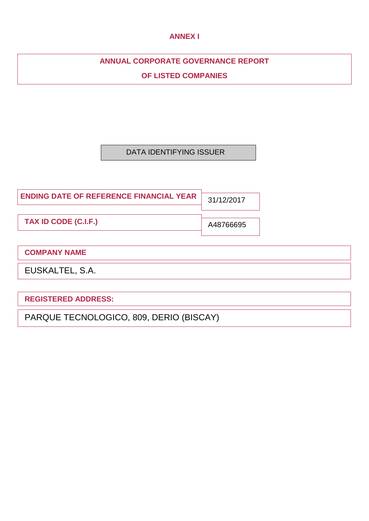# **ANNEX I**

# **ANNUAL CORPORATE GOVERNANCE REPORT**

**OF LISTED COMPANIES**

# DATA IDENTIFYING ISSUER

| <b>ENDING DATE OF REFERENCE FINANCIAL YEAR</b> | 31/12/2017 |
|------------------------------------------------|------------|
| <b>TAX ID CODE (C.I.F.)</b>                    | A48766695  |

# **COMPANY NAME**

EUSKALTEL, S.A.

**REGISTERED ADDRESS:**

PARQUE TECNOLOGICO, 809, DERIO (BISCAY)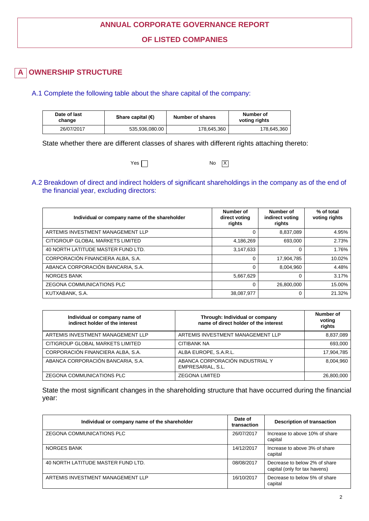# **ANNUAL CORPORATE GOVERNANCE REPORT**

**OF LISTED COMPANIES**

#### **OWNERSHIP STRUCTURE A**

### A.1 Complete the following table about the share capital of the company:

| Date of last<br>change | Share capital $(\epsilon)$ | Number of shares | Number of<br>voting rights |
|------------------------|----------------------------|------------------|----------------------------|
| 26/07/2017             | 535.936.080.00             | 178.645.360      | 178,645,360                |

State whether there are different classes of shares with different rights attaching thereto:

 $Yes \Box$ 

### A.2 Breakdown of direct and indirect holders of significant shareholdings in the company as of the end of the financial year, excluding directors:

No  $\boxed{X}$ 

| Individual or company name of the shareholder | Number of<br>direct voting<br>rights | Number of<br>indirect voting<br>rights | % of total<br>voting rights |
|-----------------------------------------------|--------------------------------------|----------------------------------------|-----------------------------|
| ARTEMIS INVESTMENT MANAGEMENT LLP             |                                      | 8,837,089                              | 4.95%                       |
| CITIGROUP GLOBAL MARKETS LIMITED              | 4,186,269                            | 693.000                                | 2.73%                       |
| 40 NORTH LATITUDE MASTER FUND LTD.            | 3,147,633                            | 0                                      | 1.76%                       |
| CORPORACIÓN FINANCIERA ALBA, S.A.             | $\Omega$                             | 17,904,785                             | 10.02%                      |
| ABANCA CORPORACIÓN BANCARIA, S.A.             | $\Omega$                             | 8,004,960                              | 4.48%                       |
| NORGES BANK                                   | 5,667,629                            | 0                                      | 3.17%                       |
| <b>ZEGONA COMMUNICATIONS PLC</b>              | $\Omega$                             | 26,800,000                             | 15.00%                      |
| KUTXABANK, S.A.                               | 38.087.977                           | 0                                      | 21.32%                      |

| Individual or company name of<br>indirect holder of the interest | Through: Individual or company<br>name of direct holder of the interest | Number of<br>voting<br>rights |
|------------------------------------------------------------------|-------------------------------------------------------------------------|-------------------------------|
| ARTEMIS INVESTMENT MANAGEMENT LLP                                | ARTEMIS INVESTMENT MANAGEMENT LLP                                       | 8,837,089                     |
| CITIGROUP GLOBAL MARKETS LIMITED                                 | <b>CITIBANK NA</b>                                                      | 693,000                       |
| CORPORACIÓN FINANCIERA ALBA, S.A.                                | ALBA EUROPE, S.A.R.L.                                                   | 17,904,785                    |
| ABANCA CORPORACIÓN BANCARIA, S.A.                                | ABANCA CORPORACIÓN INDUSTRIAL Y<br>EMPRESARIAL, S.L.                    | 8,004,960                     |
| ZEGONA COMMUNICATIONS PLC                                        | <b>ZEGONA LIMITED</b>                                                   | 26,800,000                    |

State the most significant changes in the shareholding structure that have occurred during the financial year:

| Individual or company name of the shareholder | Date of<br>transaction | <b>Description of transaction</b>                              |
|-----------------------------------------------|------------------------|----------------------------------------------------------------|
| ZEGONA COMMUNICATIONS PLC                     | 26/07/2017             | Increase to above 10% of share<br>capital                      |
| NORGES BANK                                   | 14/12/2017             | Increase to above 3% of share<br>capital                       |
| 40 NORTH LATITUDE MASTER FUND LTD.            | 08/08/2017             | Decrease to below 2% of share<br>capital (only for tax havens) |
| ARTEMIS INVESTMENT MANAGEMENT LLP             | 16/10/2017             | Decrease to below 5% of share<br>capital                       |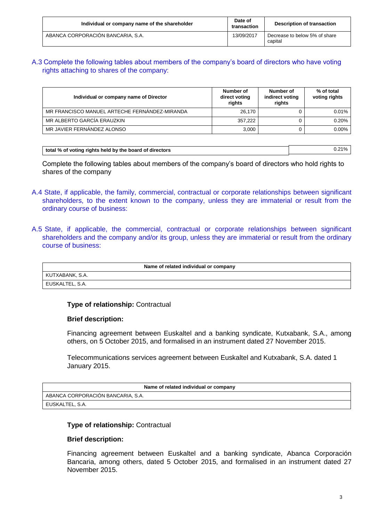| Individual or company name of the shareholder | Date of<br>transaction | <b>Description of transaction</b>        |
|-----------------------------------------------|------------------------|------------------------------------------|
| ABANCA CORPORACIÓN BANCARIA, S.A.             | 13/09/2017             | Decrease to below 5% of share<br>capital |

## A.3 Complete the following tables about members of the company's board of directors who have voting rights attaching to shares of the company:

| Individual or company name of Director        | Number of<br>direct voting<br>rights | Number of<br>indirect voting<br>rights | % of total<br>voting rights |
|-----------------------------------------------|--------------------------------------|----------------------------------------|-----------------------------|
| MR FRANCISCO MANUEL ARTECHE FERNANDEZ-MIRANDA | 26.170                               |                                        | $0.01\%$                    |
| MR ALBERTO GARCÍA ERAUZKIN                    | 357.222                              |                                        | 0.20%                       |
| MR JAVIER FERNANDEZ ALONSO                    | 3.000                                |                                        | $0.00\%$                    |

| total % of voting rights held by the board of directors | ີ 21% |
|---------------------------------------------------------|-------|

Complete the following tables about members of the company's board of directors who hold rights to shares of the company

- A.4 State, if applicable, the family, commercial, contractual or corporate relationships between significant shareholders, to the extent known to the company, unless they are immaterial or result from the ordinary course of business:
- A.5 State, if applicable, the commercial, contractual or corporate relationships between significant shareholders and the company and/or its group, unless they are immaterial or result from the ordinary course of business:

| Name of related individual or company |
|---------------------------------------|
| KUTXABANK, S.A.                       |
| EUSKALTEL, S.A.                       |

### **Type of relationship:** Contractual

### **Brief description:**

Financing agreement between Euskaltel and a banking syndicate, Kutxabank, S.A., among others, on 5 October 2015, and formalised in an instrument dated 27 November 2015.

Telecommunications services agreement between Euskaltel and Kutxabank, S.A. dated 1 January 2015.

| Name of related individual or company |
|---------------------------------------|
| ABANCA CORPORACIÓN BANCARIA, S.A.     |
| EUSKALTEL. S.A.                       |

### **Type of relationship:** Contractual

### **Brief description:**

Financing agreement between Euskaltel and a banking syndicate, Abanca Corporación Bancaria, among others, dated 5 October 2015, and formalised in an instrument dated 27 November 2015.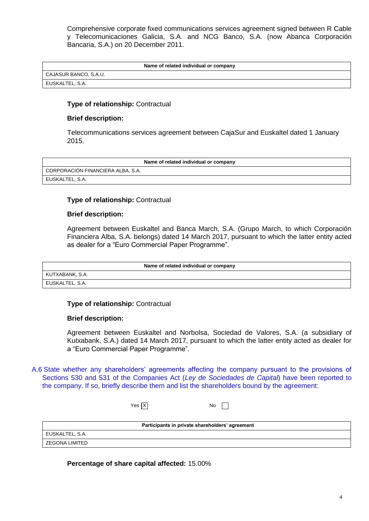Comprehensive corporate fixed communications services agreement signed between R Cable y Telecomunicaciones Galicia, S.A. and NCG Banco, S.A. (now Abanca Corporación Bancaria, S.A.) on 20 December 2011.

|  |  | Name of related individual or company |  |  |
|--|--|---------------------------------------|--|--|
|--|--|---------------------------------------|--|--|

CAJASUR BANCO, S.A.U. EUSKALTEL, S.A.

### **Type of relationship:** Contractual

### **Brief description:**

Telecommunications services agreement between CajaSur and Euskaltel dated 1 January 2015.

| Name of related individual or company |  |
|---------------------------------------|--|
| CORPORACIÓN FINANCIERA ALBA, S.A.     |  |
| I EUSKALTEL, S.A.                     |  |

### **Type of relationship:** Contractual

### **Brief description:**

Agreement between Euskaltel and Banca March, S.A. (Grupo March, to which Corporación Financiera Alba, S.A. belongs) dated 14 March 2017, pursuant to which the latter entity acted as dealer for a "Euro Commercial Paper Programme".

| Name of related individual or company |
|---------------------------------------|
| KUTXABANK, S.A.                       |
| EUSKALTEL, S.A.                       |

### **Type of relationship:** Contractual

### **Brief description:**

Agreement between Euskaltel and Norbolsa, Sociedad de Valores, S.A. (a subsidiary of Kutxabank, S.A.) dated 14 March 2017, pursuant to which the latter entity acted as dealer for a "Euro Commercial Paper Programme".

A.6 State whether any shareholders' agreements affecting the company pursuant to the provisions of Sections 530 and 531 of the Companies Act (*Ley de Sociedades de Capital*) have been reported to the company. If so, briefly describe them and list the shareholders bound by the agreement:

| Yes $ \overline{X} $<br>No |
|----------------------------|
|----------------------------|

| Participants in private shareholders' agreement |
|-------------------------------------------------|
|                                                 |
|                                                 |
|                                                 |

**Percentage of share capital affected:** 15.00%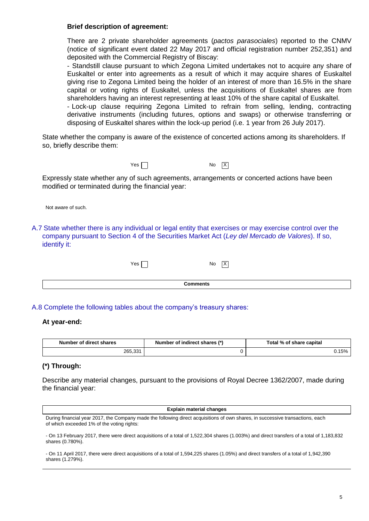### **Brief description of agreement:**

There are 2 private shareholder agreements (*pactos parasociales*) reported to the CNMV (notice of significant event dated 22 May 2017 and official registration number 252,351) and deposited with the Commercial Registry of Biscay:

- Standstill clause pursuant to which Zegona Limited undertakes not to acquire any share of Euskaltel or enter into agreements as a result of which it may acquire shares of Euskaltel giving rise to Zegona Limited being the holder of an interest of more than 16.5% in the share capital or voting rights of Euskaltel, unless the acquisitions of Euskaltel shares are from shareholders having an interest representing at least 10% of the share capital of Euskaltel. - Lock-up clause requiring Zegona Limited to refrain from selling, lending, contracting derivative instruments (including futures, options and swaps) or otherwise transferring or

disposing of Euskaltel shares within the lock-up period (i.e. 1 year from 26 July 2017).

State whether the company is aware of the existence of concerted actions among its shareholders. If so, briefly describe them:



No  $|\overline{X}|$ 

Expressly state whether any of such agreements, arrangements or concerted actions have been modified or terminated during the financial year:



A.7 State whether there is any individual or legal entity that exercises or may exercise control over the company pursuant to Section 4 of the Securities Market Act (*Ley del Mercado de Valores*). If so, identify it:

 $Yes \frown$ 

 $\overline{X}$ 

**Comments**

### A.8 Complete the following tables about the company's treasury shares:

### **At year-end:**

| Number of direct shares | Number of indirect shares (*) | Total % of share capital |  |
|-------------------------|-------------------------------|--------------------------|--|
| 265,331                 |                               | 150/                     |  |

### **(\*) Through:**

Describe any material changes, pursuant to the provisions of Royal Decree 1362/2007, made during the financial year:

| <b>Explain material changes</b>                                                                                                                                              |
|------------------------------------------------------------------------------------------------------------------------------------------------------------------------------|
| During financial year 2017, the Company made the following direct acquisitions of own shares, in successive transactions, each<br>of which exceeded 1% of the voting rights: |

- On 13 February 2017, there were direct acquisitions of a total of 1,522,304 shares (1.003%) and direct transfers of a total of 1,183,832 shares (0.780%).

- On 11 April 2017, there were direct acquisitions of a total of 1,594,225 shares (1.05%) and direct transfers of a total of 1,942,390 shares (1.279%).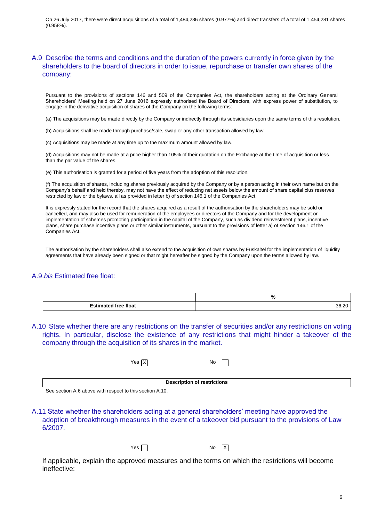On 26 July 2017, there were direct acquisitions of a total of 1,484,286 shares (0.977%) and direct transfers of a total of 1,454,281 shares (0.958%).

### A.9 Describe the terms and conditions and the duration of the powers currently in force given by the shareholders to the board of directors in order to issue, repurchase or transfer own shares of the company:

Pursuant to the provisions of sections 146 and 509 of the Companies Act, the shareholders acting at the Ordinary General Shareholders' Meeting held on 27 June 2016 expressly authorised the Board of Directors, with express power of substitution, to engage in the derivative acquisition of shares of the Company on the following terms:

(a) The acquisitions may be made directly by the Company or indirectly through its subsidiaries upon the same terms of this resolution.

(b) Acquisitions shall be made through purchase/sale, swap or any other transaction allowed by law.

(c) Acquisitions may be made at any time up to the maximum amount allowed by law.

(d) Acquisitions may not be made at a price higher than 105% of their quotation on the Exchange at the time of acquisition or less than the par value of the shares.

(e) This authorisation is granted for a period of five years from the adoption of this resolution.

(f) The acquisition of shares, including shares previously acquired by the Company or by a person acting in their own name but on the Company's behalf and held thereby, may not have the effect of reducing net assets below the amount of share capital plus reserves restricted by law or the bylaws, all as provided in letter b) of section 146.1 of the Companies Act.

It is expressly stated for the record that the shares acquired as a result of the authorisation by the shareholders may be sold or cancelled, and may also be used for remuneration of the employees or directors of the Company and for the development or implementation of schemes promoting participation in the capital of the Company, such as dividend reinvestment plans, incentive plans, share purchase incentive plans or other similar instruments, pursuant to the provisions of letter a) of section 146.1 of the Companies Act.

The authorisation by the shareholders shall also extend to the acquisition of own shares by Euskaltel for the implementation of liquidity agreements that have already been signed or that might hereafter be signed by the Company upon the terms allowed by law.

### A.9.*bis* Estimated free float:

|   | 7٥                    |
|---|-----------------------|
| ю | <br>26<br>vv.<br>$ -$ |

A.10 State whether there are any restrictions on the transfer of securities and/or any restrictions on voting rights. In particular, disclose the existence of any restrictions that might hinder a takeover of the company through the acquisition of its shares in the market.

| Yes $\boxed{X}$ | No |
|-----------------|----|
|-----------------|----|

**Description of restrictions**

See section A.6 above with respect to this section A.10.

A.11 State whether the shareholders acting at a general shareholders' meeting have approved the adoption of breakthrough measures in the event of a takeover bid pursuant to the provisions of Law 6/2007.

| Yes | No |
|-----|----|
|-----|----|

 $\vert$  X

If applicable, explain the approved measures and the terms on which the restrictions will become ineffective: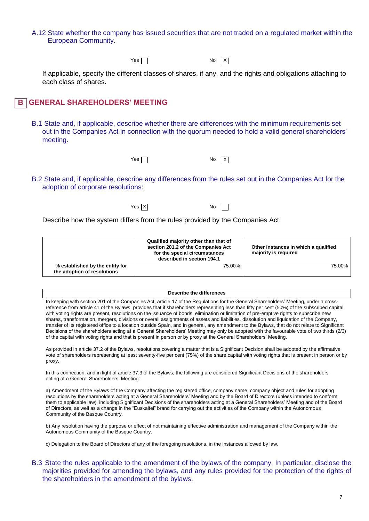A.12 State whether the company has issued securities that are not traded on a regulated market within the European Community.

Yes  $\Box$ 

 $No$   $X$ 

If applicable, specify the different classes of shares, if any, and the rights and obligations attaching to each class of shares.

#### **GENERAL SHAREHOLDERS' MEETING B**

- B.1 State and, if applicable, describe whether there are differences with the minimum requirements set out in the Companies Act in connection with the quorum needed to hold a valid general shareholders' meeting.
	- $Yes \frown$

 $\overline{X}$ 

- B.2 State and, if applicable, describe any differences from the rules set out in the Companies Act for the adoption of corporate resolutions:
	- X Yes No

Describe how the system differs from the rules provided by the Companies Act.

|                                                                | Qualified majority other than that of<br>section 201.2 of the Companies Act<br>for the special circumstances<br>described in section 194.1 | Other instances in which a qualified<br>majority is required |  |
|----------------------------------------------------------------|--------------------------------------------------------------------------------------------------------------------------------------------|--------------------------------------------------------------|--|
| % established by the entity for<br>the adoption of resolutions | 75.00%                                                                                                                                     | 75.00%                                                       |  |

#### **Describe the differences**

In keeping with section 201 of the Companies Act, article 17 of the Regulations for the General Shareholders' Meeting, under a crossreference from article 41 of the Bylaws, provides that if shareholders representing less than fifty per cent (50%) of the subscribed capital with voting rights are present, resolutions on the issuance of bonds, elimination or limitation of pre-emptive rights to subscribe new shares, transformation, mergers, divisions or overall assignments of assets and liabilities, dissolution and liquidation of the Company, transfer of its registered office to a location outside Spain, and in general, any amendment to the Bylaws, that do not relate to Significant Decisions of the shareholders acting at a General Shareholders' Meeting may only be adopted with the favourable vote of two thirds (2/3) of the capital with voting rights and that is present in person or by proxy at the General Shareholders' Meeting.

As provided in article 37.2 of the Bylaws, resolutions covering a matter that is a Significant Decision shall be adopted by the affirmative vote of shareholders representing at least seventy-five per cent (75%) of the share capital with voting rights that is present in person or by proxy.

In this connection, and in light of article 37.3 of the Bylaws, the following are considered Significant Decisions of the shareholders acting at a General Shareholders' Meeting:

a) Amendment of the Bylaws of the Company affecting the registered office, company name, company object and rules for adopting resolutions by the shareholders acting at a General Shareholders' Meeting and by the Board of Directors (unless intended to conform them to applicable law), including Significant Decisions of the shareholders acting at a General Shareholders' Meeting and of the Board of Directors, as well as a change in the "Euskaltel" brand for carrying out the activities of the Company within the Autonomous Community of the Basque Country.

b) Any resolution having the purpose or effect of not maintaining effective administration and management of the Company within the Autonomous Community of the Basque Country.

c) Delegation to the Board of Directors of any of the foregoing resolutions, in the instances allowed by law.

B.3 State the rules applicable to the amendment of the bylaws of the company. In particular, disclose the majorities provided for amending the bylaws, and any rules provided for the protection of the rights of the shareholders in the amendment of the bylaws.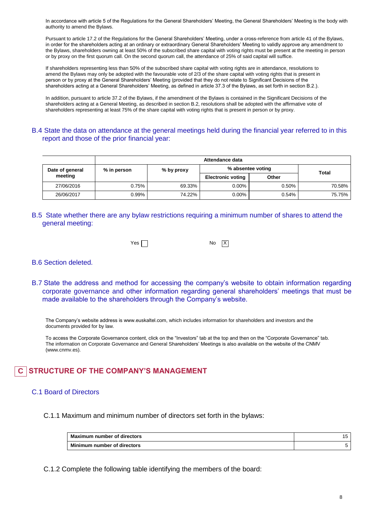In accordance with article 5 of the Regulations for the General Shareholders' Meeting, the General Shareholders' Meeting is the body with authority to amend the Bylaws.

Pursuant to article 17.2 of the Regulations for the General Shareholders' Meeting, under a cross-reference from article 41 of the Bylaws, in order for the shareholders acting at an ordinary or extraordinary General Shareholders' Meeting to validly approve any amendment to the Bylaws, shareholders owning at least 50% of the subscribed share capital with voting rights must be present at the meeting in person or by proxy on the first quorum call. On the second quorum call, the attendance of 25% of said capital will suffice.

If shareholders representing less than 50% of the subscribed share capital with voting rights are in attendance, resolutions to amend the Bylaws may only be adopted with the favourable vote of 2/3 of the share capital with voting rights that is present in person or by proxy at the General Shareholders' Meeting (provided that they do not relate to Significant Decisions of the shareholders acting at a General Shareholders' Meeting, as defined in article 37.3 of the Bylaws, as set forth in section B.2.).

In addition, pursuant to article 37.2 of the Bylaws, if the amendment of the Bylaws is contained in the Significant Decisions of the shareholders acting at a General Meeting, as described in section B.2, resolutions shall be adopted with the affirmative vote of shareholders representing at least 75% of the share capital with voting rights that is present in person or by proxy.

### B.4 State the data on attendance at the general meetings held during the financial year referred to in this report and those of the prior financial year:

|                 | Attendance data |            |                          |       |              |  |
|-----------------|-----------------|------------|--------------------------|-------|--------------|--|
| Date of general | % in person     | % by proxy | % absentee voting        |       | <b>Total</b> |  |
| meeting         |                 |            | <b>Electronic voting</b> | Other |              |  |
| 27/06/2016      | 0.75%           | 69.33%     | $0.00\%$                 | 0.50% | 70.58%       |  |
| 26/06/2017      | 0.99%           | 74.22%     | $0.00\%$                 | 0.54% | 75.75%       |  |

B.5 State whether there are any bylaw restrictions requiring a minimum number of shares to attend the general meeting:



### B.6 Section deleted.

B.7 State the address and method for accessing the company's website to obtain information regarding corporate governance and other information regarding general shareholders' meetings that must be made available to the shareholders through the Company's website.

[The Company's website address is www.euskaltel.com,](http://www.euskaltel.com/) which includes information for shareholders and investors and the documents provided for by law.

To access the Corporate Governance content, click on the "Investors" tab at the top and then on the "Corporate Governance" tab. The information on Corporate Governance and General Shareholders' Meetings is also available on the website of the CNMV (www.cnmv.es).

#### **STRUCTURE OF THE COMPANY'S MANAGEMENT C**

### C.1 Board of Directors

C.1.1 Maximum and minimum number of directors set forth in the bylaws:

| Maximum number of directors | G |
|-----------------------------|---|
| Minimum number of directors |   |

C.1.2 Complete the following table identifying the members of the board: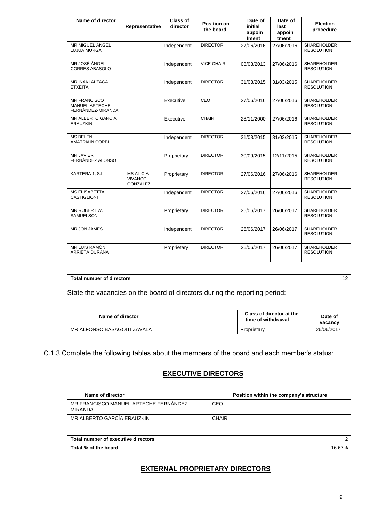| Name of director                                                  | Representative                                 | <b>Class of</b><br>director | <b>Position on</b><br>the board | Date of<br>initial<br>appoin<br>tment | Date of<br>last<br>appoin<br>tment | <b>Election</b><br>procedure            |
|-------------------------------------------------------------------|------------------------------------------------|-----------------------------|---------------------------------|---------------------------------------|------------------------------------|-----------------------------------------|
| MR MIGUEL ÁNGEL<br><b>LUJUA MURGA</b>                             |                                                | Independent                 | <b>DIRECTOR</b>                 | 27/06/2016                            | 27/06/2016                         | <b>SHAREHOLDER</b><br><b>RESOLUTION</b> |
| MR JOSÉ ÁNGEL<br><b>CORRES ABASOLO</b>                            |                                                | Independent                 | <b>VICE CHAIR</b>               | 08/03/2013                            | 27/06/2016                         | SHAREHOLDER<br><b>RESOLUTION</b>        |
| MR IÑAKI ALZAGA<br><b>ETXEITA</b>                                 |                                                | Independent                 | <b>DIRECTOR</b>                 | 31/03/2015                            | 31/03/2015                         | SHAREHOLDER<br><b>RESOLUTION</b>        |
| <b>MR FRANCISCO</b><br><b>MANUEL ARTECHE</b><br>FERNÁNDEZ-MIRANDA |                                                | Executive                   | CEO                             | 27/06/2016                            | 27/06/2016                         | SHAREHOLDER<br><b>RESOLUTION</b>        |
| MR ALBERTO GARCÍA<br><b>ERAUZKIN</b>                              |                                                | Executive                   | <b>CHAIR</b>                    | 28/11/2000                            | 27/06/2016                         | <b>SHAREHOLDER</b><br><b>RESOLUTION</b> |
| MS BELÉN<br><b>AMATRIAIN CORBI</b>                                |                                                | Independent                 | <b>DIRECTOR</b>                 | 31/03/2015                            | 31/03/2015                         | <b>SHAREHOLDER</b><br><b>RESOLUTION</b> |
| MR JAVIER<br>FERNÁNDEZ ALONSO                                     |                                                | Proprietary                 | <b>DIRECTOR</b>                 | 30/09/2015                            | 12/11/2015                         | SHAREHOLDER<br><b>RESOLUTION</b>        |
| KARTERA 1, S.L.                                                   | <b>MS ALICIA</b><br><b>VIVANCO</b><br>GONZÁLEZ | Proprietary                 | <b>DIRECTOR</b>                 | 27/06/2016                            | 27/06/2016                         | <b>SHAREHOLDER</b><br><b>RESOLUTION</b> |
| <b>MS ELISABETTA</b><br><b>CASTIGLIONI</b>                        |                                                | Independent                 | <b>DIRECTOR</b>                 | 27/06/2016                            | 27/06/2016                         | <b>SHAREHOLDER</b><br><b>RESOLUTION</b> |
| MR ROBERT W.<br><b>SAMUELSON</b>                                  |                                                | Proprietary                 | <b>DIRECTOR</b>                 | 26/06/2017                            | 26/06/2017                         | <b>SHAREHOLDER</b><br><b>RESOLUTION</b> |
| MR JON JAMES                                                      |                                                | Independent                 | <b>DIRECTOR</b>                 | 26/06/2017                            | 26/06/2017                         | SHAREHOLDER<br><b>RESOLUTION</b>        |
| MR LUIS RAMÓN<br><b>ARRIETA DURANA</b>                            |                                                | Proprietary                 | <b>DIRECTOR</b>                 | 26/06/2017                            | 26/06/2017                         | SHAREHOLDER<br><b>RESOLUTION</b>        |

| Total number of directors | . . |
|---------------------------|-----|

State the vacancies on the board of directors during the reporting period:

| Name of director            | Class of director at the<br>time of withdrawal | Date of<br>vacancv |
|-----------------------------|------------------------------------------------|--------------------|
| MR ALFONSO BASAGOITI ZAVALA | Proprietary                                    | 26/06/2017         |

C.1.3 Complete the following tables about the members of the board and each member's status:

# **EXECUTIVE DIRECTORS**

| Name of director                                         | Position within the company's structure |
|----------------------------------------------------------|-----------------------------------------|
| MR FRANCISCO MANUEL ARTECHE FERNANDEZ-<br><b>MIRANDA</b> | CEO                                     |
| MR ALBERTO GARCIA ERAUZKIN                               | CHAIR                                   |

| Total number of executive directors |        |
|-------------------------------------|--------|
| Total % of the board                | 16.67% |

# **EXTERNAL PROPRIETARY DIRECTORS**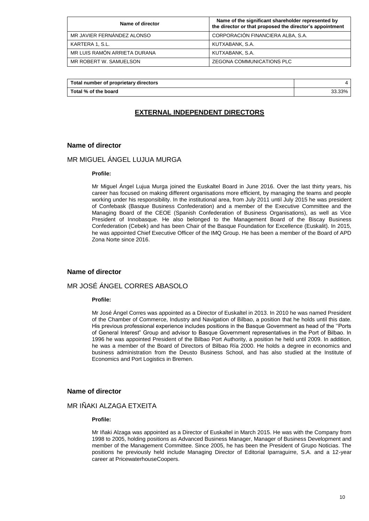| Name of director             | Name of the significant shareholder represented by<br>the director or that proposed the director's appointment |  |
|------------------------------|----------------------------------------------------------------------------------------------------------------|--|
| MR JAVIER FERNANDEZ ALONSO   | CORPORACIÓN FINANCIERA ALBA, S.A.                                                                              |  |
| KARTERA 1, S.L.              | KUTXABANK, S.A.                                                                                                |  |
| MR LUIS RAMÓN ARRIETA DURANA | KUTXABANK, S.A.                                                                                                |  |
| MR ROBERT W. SAMUELSON       | ZEGONA COMMUNICATIONS PLC                                                                                      |  |

| Total number of proprietary directors |        |
|---------------------------------------|--------|
| Total % of the board                  | 33.33% |

### **EXTERNAL INDEPENDENT DIRECTORS**

### **Name of director**

## MR MIGUEL ÁNGEL LUJUA MURGA

#### **Profile:**

Mr Miguel Ángel Lujua Murga joined the Euskaltel Board in June 2016. Over the last thirty years, his career has focused on making different organisations more efficient, by managing the teams and people working under his responsibility. In the institutional area, from July 2011 until July 2015 he was president of Confebask (Basque Business Confederation) and a member of the Executive Committee and the Managing Board of the CEOE (Spanish Confederation of Business Organisations), as well as Vice President of Innobasque. He also belonged to the Management Board of the Biscay Business Confederation (Cebek) and has been Chair of the Basque Foundation for Excellence (Euskalit). In 2015, he was appointed Chief Executive Officer of the IMQ Group. He has been a member of the Board of APD Zona Norte since 2016.

### **Name of director**

### MR JOSÉ ÁNGEL CORRES ABASOLO

#### **Profile:**

Mr José Ángel Corres was appointed as a Director of Euskaltel in 2013. In 2010 he was named President of the Chamber of Commerce, Industry and Navigation of Bilbao, a position that he holds until this date. His previous professional experience includes positions in the Basque Government as head of the ''Ports of General Interest" Group and advisor to Basque Government representatives in the Port of Bilbao. In 1996 he was appointed President of the Bilbao Port Authority, a position he held until 2009. In addition, he was a member of the Board of Directors of Bilbao Ría 2000. He holds a degree in economics and business administration from the Deusto Business School, and has also studied at the Institute of Economics and Port Logistics in Bremen.

### **Name of director**

### MR IÑAKI ALZAGA ETXEITA

#### **Profile:**

Mr Iñaki Alzaga was appointed as a Director of Euskaltel in March 2015. He was with the Company from 1998 to 2005, holding positions as Advanced Business Manager, Manager of Business Development and member of the Management Committee. Since 2005, he has been the President of Grupo Noticias. The positions he previously held include Managing Director of Editorial Iparraguirre, S.A. and a 12-year career at PricewaterhouseCoopers.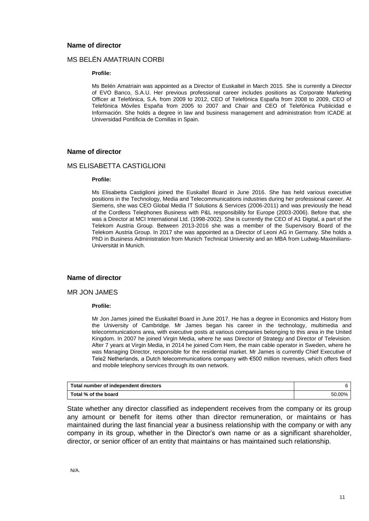### **Name of director**

### MS BELÉN AMATRIAIN CORBI

#### **Profile:**

Ms Belén Amatriain was appointed as a Director of Euskaltel in March 2015. She is currently a Director of EVO Banco, S.A.U. Her previous professional career includes positions as Corporate Marketing Officer at Telefónica, S.A. from 2009 to 2012, CEO of Telefónica España from 2008 to 2009, CEO of Telefónica Móviles España from 2005 to 2007 and Chair and CEO of Telefónica Publicidad e Información. She holds a degree in law and business management and administration from ICADE at Universidad Pontificia de Comillas in Spain.

### **Name of director**

### MS ELISABETTA CASTIGLIONI

#### **Profile:**

Ms Elisabetta Castiglioni joined the Euskaltel Board in June 2016. She has held various executive positions in the Technology, Media and Telecommunications industries during her professional career. At Siemens, she was CEO Global Media IT Solutions & Services (2006-2011) and was previously the head of the Cordless Telephones Business with P&L responsibility for Europe (2003-2006). Before that, she was a Director at MCI International Ltd. (1998-2002). She is currently the CEO of A1 Digital, a part of the Telekom Austria Group. Between 2013-2016 she was a member of the Supervisory Board of the Telekom Austria Group. In 2017 she was appointed as a Director of Leoni AG in Germany. She holds a PhD in Business Administration from Munich Technical University and an MBA from Ludwig-Maximilians-Universität in Munich.

### **Name of director**

### MR JON JAMES

#### **Profile:**

Mr Jon James joined the Euskaltel Board in June 2017. He has a degree in Economics and History from the University of Cambridge. Mr James began his career in the technology, multimedia and telecommunications area, with executive posts at various companies belonging to this area in the United Kingdom. In 2007 he joined Virgin Media, where he was Director of Strategy and Director of Television. After 7 years at Virgin Media, in 2014 he joined Com Hem, the main cable operator in Sweden, where he was Managing Director, responsible for the residential market. Mr James is currently Chief Executive of Tele2 Netherlands, a Dutch telecommunications company with €500 million revenues, which offers fixed and mobile telephony services through its own network.

| Total number of independent directors |        |
|---------------------------------------|--------|
| Total % of the board                  | 50.00% |

State whether any director classified as independent receives from the company or its group any amount or benefit for items other than director remuneration, or maintains or has maintained during the last financial year a business relationship with the company or with any company in its group, whether in the Director's own name or as a significant shareholder, director, or senior officer of an entity that maintains or has maintained such relationship.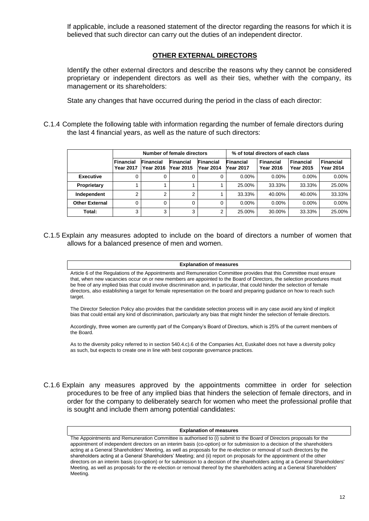If applicable, include a reasoned statement of the director regarding the reasons for which it is believed that such director can carry out the duties of an independent director.

### **OTHER EXTERNAL DIRECTORS**

Identify the other external directors and describe the reasons why they cannot be considered proprietary or independent directors as well as their ties, whether with the company, its management or its shareholders:

State any changes that have occurred during the period in the class of each director:

C.1.4 Complete the following table with information regarding the number of female directors during the last 4 financial years, as well as the nature of such directors:

|                       | Number of female directors    |                                      | % of total directors of each class |                         |                                      |                               |                                      |                                      |
|-----------------------|-------------------------------|--------------------------------------|------------------------------------|-------------------------|--------------------------------------|-------------------------------|--------------------------------------|--------------------------------------|
|                       | <b>Financial</b><br>Year 2017 | <b>Financial</b><br><b>Year 2016</b> | <b>Financial</b><br>Year 2015      | Financial<br> Year 2014 | <b>Financial</b><br><b>Year 2017</b> | <b>Financial</b><br>Year 2016 | <b>Financial</b><br><b>Year 2015</b> | <b>Financial</b><br><b>Year 2014</b> |
| <b>Executive</b>      |                               |                                      |                                    | 0                       | $0.00\%$                             | $0.00\%$                      | $0.00\%$                             | $0.00\%$                             |
| Proprietary           |                               |                                      |                                    |                         | 25.00%                               | 33.33%                        | 33.33%                               | 25.00%                               |
| Independent           | 2                             | ◠                                    | C                                  |                         | 33.33%                               | 40.00%                        | 40.00%                               | 33.33%                               |
| <b>Other External</b> | 0                             |                                      |                                    | 0                       | $0.00\%$                             | $0.00\%$                      | $0.00\%$                             | $0.00\%$                             |
| Total:                | 3                             | 3                                    | 3                                  | 2                       | 25.00%                               | 30.00%                        | 33.33%                               | 25.00%                               |

C.1.5 Explain any measures adopted to include on the board of directors a number of women that allows for a balanced presence of men and women.

#### **Explanation of measures**

Article 6 of the Regulations of the Appointments and Remuneration Committee provides that this Committee must ensure that, when new vacancies occur on or new members are appointed to the Board of Directors, the selection procedures must be free of any implied bias that could involve discrimination and, in particular, that could hinder the selection of female directors, also establishing a target for female representation on the board and preparing guidance on how to reach such target.

The Director Selection Policy also provides that the candidate selection process will in any case avoid any kind of implicit bias that could entail any kind of discrimination, particularly any bias that might hinder the selection of female directors.

Accordingly, three women are currently part of the Company's Board of Directors, which is 25% of the current members of the Board.

As to the diversity policy referred to in section 540.4.c).6 of the Companies Act, Euskaltel does not have a diversity policy as such, but expects to create one in line with best corporate governance practices.

C.1.6 Explain any measures approved by the appointments committee in order for selection procedures to be free of any implied bias that hinders the selection of female directors, and in order for the company to deliberately search for women who meet the professional profile that is sought and include them among potential candidates:

#### **Explanation of measures**

The Appointments and Remuneration Committee is authorised to (i) submit to the Board of Directors proposals for the appointment of independent directors on an interim basis (co-option) or for submission to a decision of the shareholders acting at a General Shareholders' Meeting, as well as proposals for the re-election or removal of such directors by the shareholders acting at a General Shareholders' Meeting; and (ii) report on proposals for the appointment of the other directors on an interim basis (co-option) or for submission to a decision of the shareholders acting at a General Shareholders' Meeting, as well as proposals for the re-election or removal thereof by the shareholders acting at a General Shareholders' Meeting.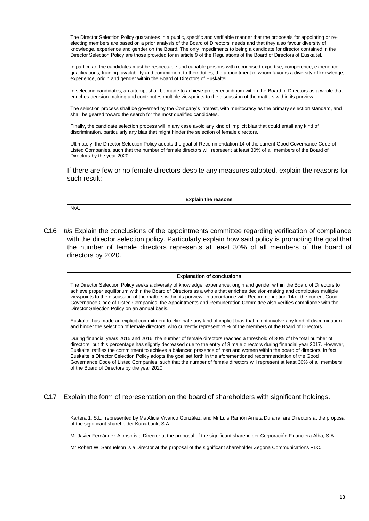The Director Selection Policy guarantees in a public, specific and verifiable manner that the proposals for appointing or reelecting members are based on a prior analysis of the Board of Directors' needs and that they also favour diversity of knowledge, experience and gender on the Board. The only impediments to being a candidate for director contained in the Director Selection Policy are those provided for in article 9 of the Regulations of the Board of Directors of Euskaltel.

In particular, the candidates must be respectable and capable persons with recognised expertise, competence, experience, qualifications, training, availability and commitment to their duties, the appointment of whom favours a diversity of knowledge, experience, origin and gender within the Board of Directors of Euskaltel.

In selecting candidates, an attempt shall be made to achieve proper equilibrium within the Board of Directors as a whole that enriches decision-making and contributes multiple viewpoints to the discussion of the matters within its purview.

The selection process shall be governed by the Company's interest, with meritocracy as the primary selection standard, and shall be geared toward the search for the most qualified candidates.

Finally, the candidate selection process will in any case avoid any kind of implicit bias that could entail any kind of discrimination, particularly any bias that might hinder the selection of female directors.

Ultimately, the Director Selection Policy adopts the goal of Recommendation 14 of the current Good Governance Code of Listed Companies, such that the number of female directors will represent at least 30% of all members of the Board of Directors by the year 2020.

If there are few or no female directors despite any measures adopted, explain the reasons for such result:

N/A.

**Explain the reasons**

C.1.6 *bis* Explain the conclusions of the appointments committee regarding verification of compliance with the director selection policy. Particularly explain how said policy is promoting the goal that the number of female directors represents at least 30% of all members of the board of directors by 2020.

#### **Explanation of conclusions**

The Director Selection Policy seeks a diversity of knowledge, experience, origin and gender within the Board of Directors to achieve proper equilibrium within the Board of Directors as a whole that enriches decision-making and contributes multiple viewpoints to the discussion of the matters within its purview. In accordance with Recommendation 14 of the current Good Governance Code of Listed Companies, the Appointments and Remuneration Committee also verifies compliance with the Director Selection Policy on an annual basis.

Euskaltel has made an explicit commitment to eliminate any kind of implicit bias that might involve any kind of discrimination and hinder the selection of female directors, who currently represent 25% of the members of the Board of Directors.

During financial years 2015 and 2016, the number of female directors reached a threshold of 30% of the total number of directors, but this percentage has slightly decreased due to the entry of 3 male directors during financial year 2017. However, Euskaltel ratifies the commitment to achieve a balanced presence of men and women within the board of directors. In fact, Euskaltel's Director Selection Policy adopts the goal set forth in the aforementioned recommendation of the Good Governance Code of Listed Companies, such that the number of female directors will represent at least 30% of all members of the Board of Directors by the year 2020.

### C.1.7 Explain the form of representation on the board of shareholders with significant holdings.

Kartera 1, S.L., represented by Ms Alicia Vivanco González, and Mr Luis Ramón Arrieta Durana, are Directors at the proposal of the significant shareholder Kutxabank, S.A.

Mr Javier Fernández Alonso is a Director at the proposal of the significant shareholder Corporación Financiera Alba, S.A.

Mr Robert W. Samuelson is a Director at the proposal of the significant shareholder Zegona Communications PLC.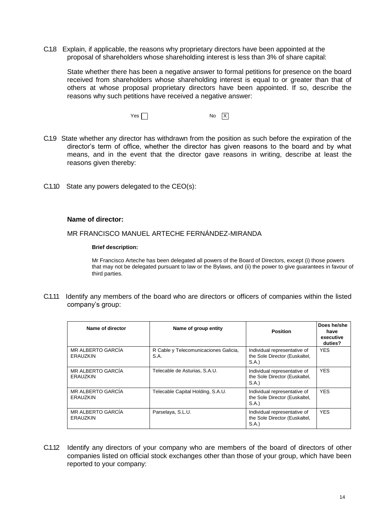C.1.8 Explain, if applicable, the reasons why proprietary directors have been appointed at the proposal of shareholders whose shareholding interest is less than 3% of share capital:

State whether there has been a negative answer to formal petitions for presence on the board received from shareholders whose shareholding interest is equal to or greater than that of others at whose proposal proprietary directors have been appointed. If so, describe the reasons why such petitions have received a negative answer:

> $Yes \Box$ No  $\overline{X}$

- C.1.9 State whether any director has withdrawn from the position as such before the expiration of the director's term of office, whether the director has given reasons to the board and by what means, and in the event that the director gave reasons in writing, describe at least the reasons given thereby:
- C.1.10 State any powers delegated to the CEO(s):

### **Name of director:**

MR FRANCISCO MANUEL ARTECHE FERNÁNDEZ-MIRANDA

### **Brief description:**

Mr Francisco Arteche has been delegated all powers of the Board of Directors, except (i) those powers that may not be delegated pursuant to law or the Bylaws, and (ii) the power to give guarantees in favour of third parties.

C.1.11 Identify any members of the board who are directors or officers of companies within the listed company's group:

| Name of director                     | Name of group entity                          | <b>Position</b>                                                       | Does he/she<br>have<br>executive<br>duties? |
|--------------------------------------|-----------------------------------------------|-----------------------------------------------------------------------|---------------------------------------------|
| MR ALBERTO GARCÍA<br><b>ERAUZKIN</b> | R Cable y Telecomunicaciones Galicia,<br>S.A. | Individual representative of<br>the Sole Director (Euskaltel,<br>S.A. | YES.                                        |
| MR ALBERTO GARCÍA<br>ERAUZKIN        | Telecable de Asturias, S.A.U.                 | Individual representative of<br>the Sole Director (Euskaltel,<br>S.A. | <b>YES</b>                                  |
| MR ALBERTO GARCÍA<br>ERAUZKIN        | Telecable Capital Holding, S.A.U.             | Individual representative of<br>the Sole Director (Euskaltel,<br>S.A. | <b>YES</b>                                  |
| MR ALBERTO GARCÍA<br><b>ERAUZKIN</b> | Parselaya, S.L.U.                             | Individual representative of<br>the Sole Director (Euskaltel,<br>S.A. | <b>YES</b>                                  |

C.1.12 Identify any directors of your company who are members of the board of directors of other companies listed on official stock exchanges other than those of your group, which have been reported to your company: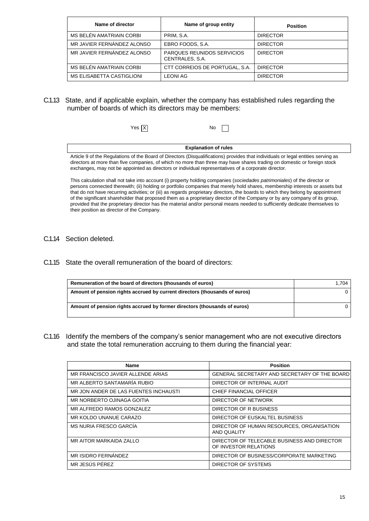| Name of director           | Name of group entity                                 | <b>Position</b> |
|----------------------------|------------------------------------------------------|-----------------|
| MS BELEN AMATRIAIN CORBI   | PRIM. S.A.                                           | <b>DIRECTOR</b> |
| MR JAVIER FERNANDEZ ALONSO | EBRO FOODS, S.A.                                     | <b>DIRECTOR</b> |
| MR JAVIER FERNANDEZ ALONSO | <b>PARQUES REUNIDOS SERVICIOS</b><br>CENTRALES, S.A. | <b>DIRECTOR</b> |
| MS BELEN AMATRIAIN CORBI   | CTT CORREIOS DE PORTUGAL, S.A.                       | <b>DIRECTOR</b> |
| MS ELISABETTA CASTIGLIONI  | <b>LEONI AG</b>                                      | <b>DIRECTOR</b> |

C.1.13 State, and if applicable explain, whether the company has established rules regarding the number of boards of which its directors may be members:

| Yes $\overline{\mathsf{X}}$ | No.                                                                                                                                                                                                                                                          |
|-----------------------------|--------------------------------------------------------------------------------------------------------------------------------------------------------------------------------------------------------------------------------------------------------------|
|                             | <b>Explanation of rules</b>                                                                                                                                                                                                                                  |
|                             | Article 9 of the Regulations of the Board of Directors (Disqualifications) provides that individuals or legal entities serving as<br>directors at more than five companies, of which no more than three may have shares trading on domestic or foreign stock |

ctors at more than five companies, of which no more than three may have shares trading on domestic or foreign stock exchanges, may not be appointed as directors or individual representatives of a corporate director.

This calculation shall not take into account (i) property holding companies (*sociedades patrimoniales*) of the director or persons connected therewith; (ii) holding or portfolio companies that merely hold shares, membership interests or assets but that do not have recurring activities; or (iii) as regards proprietary directors, the boards to which they belong by appointment of the significant shareholder that proposed them as a proprietary director of the Company or by any company of its group, provided that the proprietary director has the material and/or personal means needed to sufficiently dedicate themselves to their position as director of the Company.

- C.1.14 Section deleted.
- C.1.15 State the overall remuneration of the board of directors:

| Remuneration of the board of directors (thousands of euros)                | 1.704 |
|----------------------------------------------------------------------------|-------|
| Amount of pension rights accrued by current directors (thousands of euros) |       |
| Amount of pension rights accrued by former directors (thousands of euros)  |       |

C.1.16 Identify the members of the company's senior management who are not executive directors and state the total remuneration accruing to them during the financial year:

| Name                                  | <b>Position</b>                                                      |
|---------------------------------------|----------------------------------------------------------------------|
| MR FRANCISCO JAVIER ALLENDE ARIAS     | GENERAL SECRETARY AND SECRETARY OF THE BOARD                         |
| MR ALBERTO SANTAMARÍA RUBIO           | DIRECTOR OF INTERNAL AUDIT                                           |
| MR JON ANDER DE LAS FUENTES INCHAUSTI | CHIEF FINANCIAL OFFICER                                              |
| MR NORBERTO OJINAGA GOITIA            | DIRECTOR OF NETWORK                                                  |
| MR ALFREDO RAMOS GONZALEZ             | DIRECTOR OF R BUSINESS                                               |
| MR KOLDO UNANUE CARAZO                | DIRECTOR OF EUSKALTEL BUSINESS                                       |
| MS NURIA FRESCO GARCÍA                | DIRECTOR OF HUMAN RESOURCES, ORGANISATION<br>AND QUALITY             |
| MR AITOR MARKAIDA ZALLO               | DIRECTOR OF TELECABLE BUSINESS AND DIRECTOR<br>OF INVESTOR RELATIONS |
| MR ISIDRO FERNÁNDEZ                   | DIRECTOR OF BUSINESS/CORPORATE MARKETING                             |
| MR JESUS PEREZ                        | DIRECTOR OF SYSTEMS                                                  |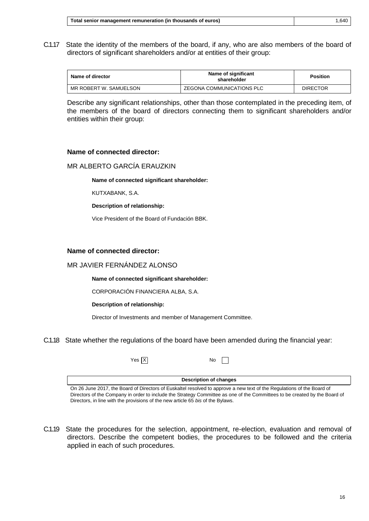C.1.17 State the identity of the members of the board, if any, who are also members of the board of directors of significant shareholders and/or at entities of their group:

| Name of director       | Name of significant<br>shareholder | <b>Position</b> |
|------------------------|------------------------------------|-----------------|
| MR ROBERT W. SAMUELSON | ZEGONA COMMUNICATIONS PLC          | <b>DIRECTOR</b> |

Describe any significant relationships, other than those contemplated in the preceding item, of the members of the board of directors connecting them to significant shareholders and/or entities within their group:

### **Name of connected director:**

## MR ALBERTO GARCÍA ERAUZKIN

**Name of connected significant shareholder:**

KUTXABANK, S.A.

**Description of relationship:**

Vice President of the Board of Fundación BBK.

### **Name of connected director:**

### MR JAVIER FERNÁNDEZ ALONSO

**Name of connected significant shareholder:**

CORPORACIÓN FINANCIERA ALBA, S.A.

#### **Description of relationship:**

Director of Investments and member of Management Committee.

C.1.18 State whether the regulations of the board have been amended during the financial year:

X Yes No

**Description of changes**

 $\mathbf{1}$ 

On 26 June 2017, the Board of Directors of Euskaltel resolved to approve a new text of the Regulations of the Board of Directors of the Company in order to include the Strategy Committee as one of the Committees to be created by the Board of Directors, in line with the provisions of the new article 65 *bis* of the Bylaws.

C.1.19 State the procedures for the selection, appointment, re-election, evaluation and removal of directors. Describe the competent bodies, the procedures to be followed and the criteria applied in each of such procedures.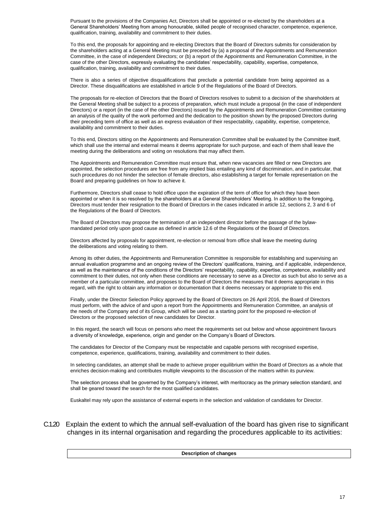Pursuant to the provisions of the Companies Act, Directors shall be appointed or re-elected by the shareholders at a General Shareholders' Meeting from among honourable, skilled people of recognised character, competence, experience, qualification, training, availability and commitment to their duties.

To this end, the proposals for appointing and re-electing Directors that the Board of Directors submits for consideration by the shareholders acting at a General Meeting must be preceded by (a) a proposal of the Appointments and Remuneration Committee, in the case of independent Directors; or (b) a report of the Appointments and Remuneration Committee, in the case of the other Directors, expressly evaluating the candidates' respectability, capability, expertise, competence, qualification, training, availability and commitment to their duties.

There is also a series of objective disqualifications that preclude a potential candidate from being appointed as a Director. These disqualifications are established in article 9 of the Regulations of the Board of Directors.

The proposals for re-election of Directors that the Board of Directors resolves to submit to a decision of the shareholders at the General Meeting shall be subject to a process of preparation, which must include a proposal (in the case of independent Directors) or a report (in the case of the other Directors) issued by the Appointments and Remuneration Committee containing an analysis of the quality of the work performed and the dedication to the position shown by the proposed Directors during their preceding term of office as well as an express evaluation of their respectability, capability, expertise, competence, availability and commitment to their duties.

To this end, Directors sitting on the Appointments and Remuneration Committee shall be evaluated by the Committee itself, which shall use the internal and external means it deems appropriate for such purpose, and each of them shall leave the meeting during the deliberations and voting on resolutions that may affect them.

The Appointments and Remuneration Committee must ensure that, when new vacancies are filled or new Directors are appointed, the selection procedures are free from any implied bias entailing any kind of discrimination, and in particular, that such procedures do not hinder the selection of female directors, also establishing a target for female representation on the Board and preparing guidelines on how to achieve it.

Furthermore, Directors shall cease to hold office upon the expiration of the term of office for which they have been appointed or when it is so resolved by the shareholders at a General Shareholders' Meeting. In addition to the foregoing, Directors must tender their resignation to the Board of Directors in the cases indicated in article 12, sections 2, 3 and 6 of the Regulations of the Board of Directors.

The Board of Directors may propose the termination of an independent director before the passage of the bylawmandated period only upon good cause as defined in article 12.6 of the Regulations of the Board of Directors.

Directors affected by proposals for appointment, re-election or removal from office shall leave the meeting during the deliberations and voting relating to them.

Among its other duties, the Appointments and Remuneration Committee is responsible for establishing and supervising an annual evaluation programme and an ongoing review of the Directors' qualifications, training, and if applicable, independence, as well as the maintenance of the conditions of the Directors' respectability, capability, expertise, competence, availability and commitment to their duties, not only when these conditions are necessary to serve as a Director as such but also to serve as a member of a particular committee, and proposes to the Board of Directors the measures that it deems appropriate in this regard, with the right to obtain any information or documentation that it deems necessary or appropriate to this end.

Finally, under the Director Selection Policy approved by the Board of Directors on 26 April 2016, the Board of Directors must perform, with the advice of and upon a report from the Appointments and Remuneration Committee, an analysis of the needs of the Company and of its Group, which will be used as a starting point for the proposed re-election of Directors or the proposed selection of new candidates for Director.

In this regard, the search will focus on persons who meet the requirements set out below and whose appointment favours a diversity of knowledge, experience, origin and gender on the Company's Board of Directors.

The candidates for Director of the Company must be respectable and capable persons with recognised expertise, competence, experience, qualifications, training, availability and commitment to their duties.

In selecting candidates, an attempt shall be made to achieve proper equilibrium within the Board of Directors as a whole that enriches decision-making and contributes multiple viewpoints to the discussion of the matters within its purview.

The selection process shall be governed by the Company's interest, with meritocracy as the primary selection standard, and shall be geared toward the search for the most qualified candidates.

Euskaltel may rely upon the assistance of external experts in the selection and validation of candidates for Director.

### C.1.20 Explain the extent to which the annual self-evaluation of the board has given rise to significant changes in its internal organisation and regarding the procedures applicable to its activities:

**Description of changes**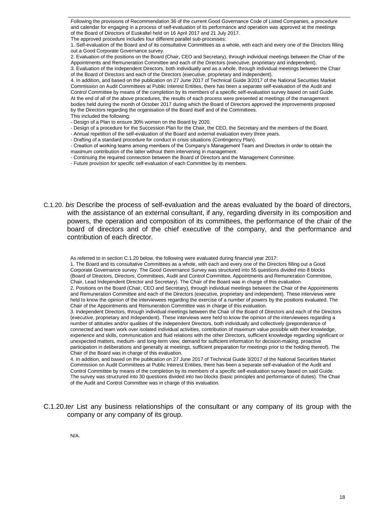Following the provisions of Recommendation 36 of the current Good Governance Code of Listed Companies, a procedure and calendar for engaging in a process of self-evaluation of its performance and operation was approved at the meetings of the Board of Directors of Euskaltel held on 16 April 2017 and 21 July 2017.

The approved procedure includes four different parallel sub-processes:

1. Self-evaluation of the Board and of its consultative Committees as a whole, with each and every one of the Directors filling out a Good Corporate Governance survey.

2. Evaluation of the positions on the Board (Chair, CEO and Secretary), through individual meetings between the Chair of the Appointments and Remuneration Committee and each of the Directors (executive, proprietary and independent).

3. Evaluation of the independent Directors, both individually and as a whole, through individual meetings between the Chair of the Board of Directors and each of the Directors (executive, proprietary and independent).

4. In addition, and based on the publication on 27 June 2017 of Technical Guide 3/2017 of the National Securities Market Commission on Audit Committees at Public Interest Entities, there has been a separate self-evaluation of the Audit and Control Committee by means of the completion by its members of a specific self-evaluation survey based on said Guide. At the end of all of the above procedures, the results of each process were presented at meetings of the management bodies held during the month of October 2017 during which the Board of Directors approved the improvements proposed by the Directors regarding the organisation of the Board itself and of the Committees. This included the following:

- Design of a Plan to ensure 30% women on the Board by 2020.

- Design of a procedure for the Succession Plan for the Chair, the CEO, the Secretary and the members of the Board.

- Annual repetition of the self-evaluation of the Board and external evaluation every three years.
- Drafting of a standard procedure for conduct in crisis situations (Contingency Plan).

- Creation of working teams among members of the Company's Management Team and Directors in order to obtain the maximum contribution of the latter without them intervening in management.

- Continuing the required connection between the Board of Directors and the Management Committee.

- Future provision for specific self-evaluation of each Committee by its members.

C.1.20. *bis* Describe the process of self-evaluation and the areas evaluated by the board of directors, with the assistance of an external consultant, if any, regarding diversity in its composition and powers, the operation and composition of its committees, the performance of the chair of the board of directors and of the chief executive of the company, and the performance and contribution of each director.

As referred to in section C.1.20 below, the following were evaluated during financial year 2017:

1. The Board and its consultative Committees as a whole, with each and every one of the Directors filling out a Good Corporate Governance survey. The Good Governance Survey was structured into 55 questions divided into 8 blocks (Board of Directors, Directors, Committees, Audit and Control Committee, Appointments and Remuneration Committee, Chair, Lead Independent Director and Secretary). The Chair of the Board was in charge of this evaluation. 2. Positions on the Board (Chair, CEO and Secretary), through individual meetings between the Chair of the Appointments

and Remuneration Committee and each of the Directors (executive, proprietary and independent). These interviews were held to know the opinion of the interviewees regarding the exercise of a number of powers by the positions evaluated. The Chair of the Appointments and Remuneration Committee was in charge of this evaluation.

3. Independent Directors, through individual meetings between the Chair of the Board of Directors and each of the Directors (executive, proprietary and independent). These interviews were held to know the opinion of the interviewees regarding a number of attitudes and/or qualities of the independent Directors, both individually and collectively (preponderance of connected and team work over isolated individual activities, contribution of maximum value possible with their knowledge, experience and skills, communication and fluid relations with the other Directors, sufficient knowledge regarding significant or unexpected matters, medium- and long-term view, demand for sufficient information for decision-making, proactive participation in deliberations and generally at meetings, sufficient preparation for meetings prior to the holding thereof). The Chair of the Board was in charge of this evaluation.

4. In addition, and based on the publication on 27 June 2017 of Technical Guide 3/2017 of the National Securities Market Commission on Audit Committees at Public Interest Entities, there has been a separate self-evaluation of the Audit and Control Committee by means of the completion by its members of a specific self-evaluation survey based on said Guide. The survey was structured into 30 questions divided into two blocks (basic principles and performance of duties). The Chair of the Audit and Control Committee was in charge of this evaluation.

C.1.20.*ter* List any business relationships of the consultant or any company of its group with the company or any company of its group.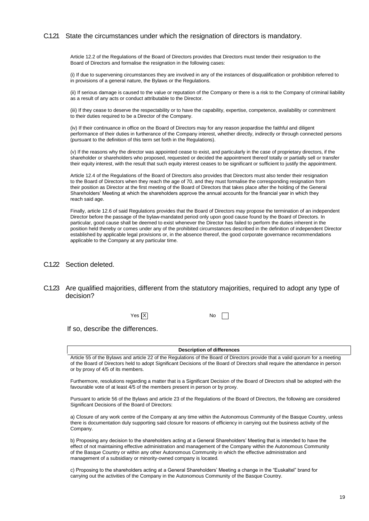### C.1.21 State the circumstances under which the resignation of directors is mandatory.

Article 12.2 of the Regulations of the Board of Directors provides that Directors must tender their resignation to the Board of Directors and formalise the resignation in the following cases:

(i) If due to supervening circumstances they are involved in any of the instances of disqualification or prohibition referred to in provisions of a general nature, the Bylaws or the Regulations.

(ii) If serious damage is caused to the value or reputation of the Company or there is a risk to the Company of criminal liability as a result of any acts or conduct attributable to the Director.

(iii) If they cease to deserve the respectability or to have the capability, expertise, competence, availability or commitment to their duties required to be a Director of the Company.

(iv) If their continuance in office on the Board of Directors may for any reason jeopardise the faithful and diligent performance of their duties in furtherance of the Company interest, whether directly, indirectly or through connected persons (pursuant to the definition of this term set forth in the Regulations).

(v) If the reasons why the director was appointed cease to exist, and particularly in the case of proprietary directors, if the shareholder or shareholders who proposed, requested or decided the appointment thereof totally or partially sell or transfer their equity interest, with the result that such equity interest ceases to be significant or sufficient to justify the appointment.

Article 12.4 of the Regulations of the Board of Directors also provides that Directors must also tender their resignation to the Board of Directors when they reach the age of 70, and they must formalise the corresponding resignation from their position as Director at the first meeting of the Board of Directors that takes place after the holding of the General Shareholders' Meeting at which the shareholders approve the annual accounts for the financial year in which they reach said age.

Finally, article 12.6 of said Regulations provides that the Board of Directors may propose the termination of an independent Director before the passage of the bylaw-mandated period only upon good cause found by the Board of Directors. In particular, good cause shall be deemed to exist whenever the Director has failed to perform the duties inherent in the position held thereby or comes under any of the prohibited circumstances described in the definition of independent Director established by applicable legal provisions or, in the absence thereof, the good corporate governance recommendations applicable to the Company at any particular time.

- C.1.22 Section deleted.
- C.1.23 Are qualified majorities, different from the statutory majorities, required to adopt any type of decision?

X Yes No

If so, describe the differences.

**Description of differences**

Article 55 of the Bylaws and article 22 of the Regulations of the Board of Directors provide that a valid quorum for a meeting of the Board of Directors held to adopt Significant Decisions of the Board of Directors shall require the attendance in person or by proxy of 4/5 of its members.

Furthermore, resolutions regarding a matter that is a Significant Decision of the Board of Directors shall be adopted with the favourable vote of at least 4/5 of the members present in person or by proxy.

Pursuant to article 56 of the Bylaws and article 23 of the Regulations of the Board of Directors, the following are considered Significant Decisions of the Board of Directors:

a) Closure of any work centre of the Company at any time within the Autonomous Community of the Basque Country, unless there is documentation duly supporting said closure for reasons of efficiency in carrying out the business activity of the Company.

b) Proposing any decision to the shareholders acting at a General Shareholders' Meeting that is intended to have the effect of not maintaining effective administration and management of the Company within the Autonomous Community of the Basque Country or within any other Autonomous Community in which the effective administration and management of a subsidiary or minority-owned company is located.

c) Proposing to the shareholders acting at a General Shareholders' Meeting a change in the "Euskaltel" brand for carrying out the activities of the Company in the Autonomous Community of the Basque Country.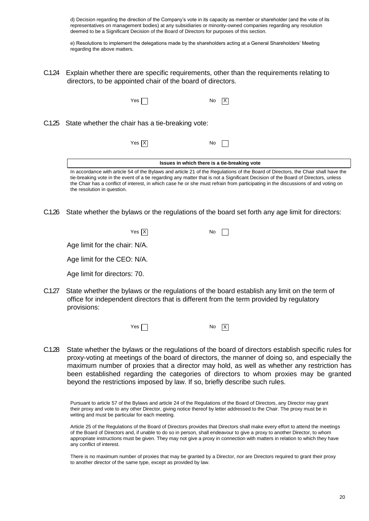d) Decision regarding the direction of the Company's vote in its capacity as member or shareholder (and the vote of its representatives on management bodies) at any subsidiaries or minority-owned companies regarding any resolution deemed to be a Significant Decision of the Board of Directors for purposes of this section.

e) Resolutions to implement the delegations made by the shareholders acting at a General Shareholders' Meeting regarding the above matters.

C.1.24 Explain whether there are specific requirements, other than the requirements relating to directors, to be appointed chair of the board of directors.

| Yes                                                     | No                                           | ΙX                                                                                                                                                                                                                                                                                                                                                                                                          |
|---------------------------------------------------------|----------------------------------------------|-------------------------------------------------------------------------------------------------------------------------------------------------------------------------------------------------------------------------------------------------------------------------------------------------------------------------------------------------------------------------------------------------------------|
| C.1.25 State whether the chair has a tie-breaking vote: |                                              |                                                                                                                                                                                                                                                                                                                                                                                                             |
| Yes $X$                                                 | No                                           |                                                                                                                                                                                                                                                                                                                                                                                                             |
|                                                         | Issues in which there is a tie-breaking vote |                                                                                                                                                                                                                                                                                                                                                                                                             |
| the resolution in question.                             |                                              | In accordance with article 54 of the Bylaws and article 21 of the Regulations of the Board of Directors, the Chair shall have the<br>tie-breaking vote in the event of a tie regarding any matter that is not a Significant Decision of the Board of Directors, unless<br>the Chair has a conflict of interest, in which case he or she must refrain from participating in the discussions of and voting on |

C.1.26 State whether the bylaws or the regulations of the board set forth any age limit for directors:

| Yes $\overline{X}$ | $No$ $\Box$ |  |
|--------------------|-------------|--|
|--------------------|-------------|--|

Age limit for the chair: N/A.

Age limit for the CEO: N/A.

Age limit for directors: 70.

C.1.27 State whether the bylaws or the regulations of the board establish any limit on the term of office for independent directors that is different from the term provided by regulatory provisions:



C.1.28 State whether the bylaws or the regulations of the board of directors establish specific rules for proxy-voting at meetings of the board of directors, the manner of doing so, and especially the maximum number of proxies that a director may hold, as well as whether any restriction has been established regarding the categories of directors to whom proxies may be granted beyond the restrictions imposed by law. If so, briefly describe such rules.

Pursuant to article 57 of the Bylaws and article 24 of the Regulations of the Board of Directors, any Director may grant their proxy and vote to any other Director, giving notice thereof by letter addressed to the Chair. The proxy must be in writing and must be particular for each meeting.

Article 25 of the Regulations of the Board of Directors provides that Directors shall make every effort to attend the meetings of the Board of Directors and, if unable to do so in person, shall endeavour to give a proxy to another Director, to whom appropriate instructions must be given. They may not give a proxy in connection with matters in relation to which they have any conflict of interest.

There is no maximum number of proxies that may be granted by a Director, nor are Directors required to grant their proxy to another director of the same type, except as provided by law.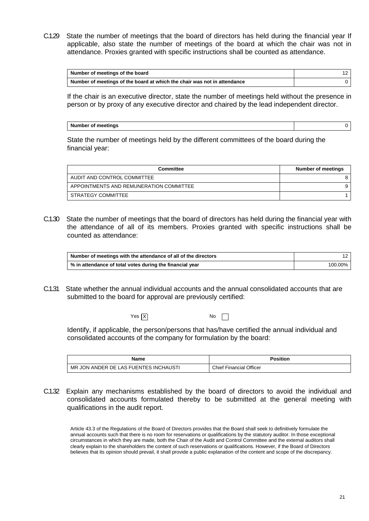C.1.29 State the number of meetings that the board of directors has held during the financial year If applicable, also state the number of meetings of the board at which the chair was not in attendance. Proxies granted with specific instructions shall be counted as attendance.

| Number of meetings of the board                                          |  |
|--------------------------------------------------------------------------|--|
| Number of meetings of the board at which the chair was not in attendance |  |

If the chair is an executive director, state the number of meetings held without the presence in person or by proxy of any executive director and chaired by the lead independent director.

| <b>Number of meetings</b> |  |
|---------------------------|--|
|                           |  |

State the number of meetings held by the different committees of the board during the financial year:

| <b>Committee</b>                        | Number of meetings |
|-----------------------------------------|--------------------|
| AUDIT AND CONTROL COMMITTEE             | 8                  |
| APPOINTMENTS AND REMUNERATION COMMITTEE | 9                  |
| STRATEGY COMMITTEE                      |                    |

C.1.30 State the number of meetings that the board of directors has held during the financial year with the attendance of all of its members. Proxies granted with specific instructions shall be counted as attendance:

| Number of meetings with the attendance of all of the directors |         |
|----------------------------------------------------------------|---------|
| % in attendance of total votes during the financial year       | 100.00% |

C.1.31 State whether the annual individual accounts and the annual consolidated accounts that are submitted to the board for approval are previously certified:

X Yes No

Identify, if applicable, the person/persons that has/have certified the annual individual and consolidated accounts of the company for formulation by the board:

| Name                                                                   | Position                      |
|------------------------------------------------------------------------|-------------------------------|
| <b>INCHAUSTI</b><br>UENTES<br>MR.<br>. ANDER<br>DE.<br>_AS Fl<br>. JON | Chief Fi<br>Financial Officer |

C.1.32 Explain any mechanisms established by the board of directors to avoid the individual and consolidated accounts formulated thereby to be submitted at the general meeting with qualifications in the audit report.

Article 43.3 of the Regulations of the Board of Directors provides that the Board shall seek to definitively formulate the annual accounts such that there is no room for reservations or qualifications by the statutory auditor. In those exceptional circumstances in which they are made, both the Chair of the Audit and Control Committee and the external auditors shall clearly explain to the shareholders the content of such reservations or qualifications. However, if the Board of Directors believes that its opinion should prevail, it shall provide a public explanation of the content and scope of the discrepancy.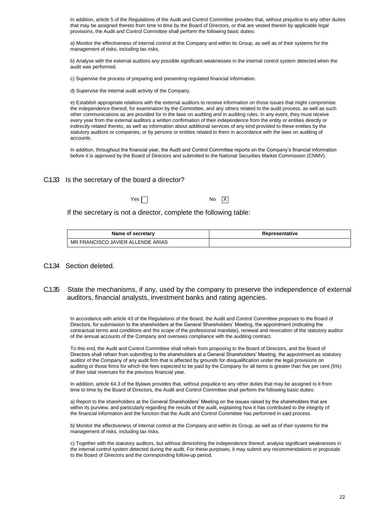In addition, article 5 of the Regulations of the Audit and Control Committee provides that, without prejudice to any other duties that may be assigned thereto from time to time by the Board of Directors, or that are vested therein by applicable legal provisions, the Audit and Control Committee shall perform the following basic duties:

a) Monitor the effectiveness of internal control at the Company and within its Group, as well as of their systems for the management of risks, including tax risks.

b) Analyse with the external auditors any possible significant weaknesses in the internal control system detected when the audit was performed.

c) Supervise the process of preparing and presenting regulated financial information.

d) Supervise the internal audit activity of the Company.

e) Establish appropriate relations with the external auditors to receive information on those issues that might compromise the independence thereof, for examination by the Committee, and any others related to the audit process, as well as such other communications as are provided for in the laws on auditing and in auditing rules. In any event, they must receive every year from the external auditors a written confirmation of their independence from the entity or entities directly or indirectly related thereto, as well as information about additional services of any kind provided to these entities by the statutory auditors or companies, or by persons or entities related to them in accordance with the laws on auditing of accounts.

In addition, throughout the financial year, the Audit and Control Committee reports on the Company's financial information before it is approved by the Board of Directors and submitted to the National Securities Market Commission (CNMV).

### C.1.33 Is the secretary of the board a director?

 $Yes \frown$ 

If the secretary is not a director, complete the following table:

| Name of secretary                 | Representative |
|-----------------------------------|----------------|
| MR FRANCISCO JAVIER ALLENDE ARIAS |                |

X

- C.1.34 Section deleted.
- C.1.35 State the mechanisms, if any, used by the company to preserve the independence of external auditors, financial analysts, investment banks and rating agencies.

In accordance with article 43 of the Regulations of the Board, the Audit and Control Committee proposes to the Board of Directors, for submission to the shareholders at the General Shareholders' Meeting, the appointment (indicating the contractual terms and conditions and the scope of the professional mandate), renewal and revocation of the statutory auditor of the annual accounts of the Company and oversees compliance with the auditing contract.

To this end, the Audit and Control Committee shall refrain from proposing to the Board of Directors, and the Board of Directors shall refrain from submitting to the shareholders at a General Shareholders' Meeting, the appointment as statutory auditor of the Company of any audit firm that is affected by grounds for disqualification under the legal provisions on auditing or those firms for which the fees expected to be paid by the Company for all items is greater than five per cent (5%) of their total revenues for the previous financial year.

In addition, article 64.3 of the Bylaws provides that, without prejudice to any other duties that may be assigned to it from time to time by the Board of Directors, the Audit and Control Committee shall perform the following basic duties:

a) Report to the shareholders at the General Shareholders' Meeting on the issues raised by the shareholders that are within its purview, and particularly regarding the results of the audit, explaining how it has contributed to the integrity of the financial information and the function that the Audit and Control Committee has performed in said process.

b) Monitor the effectiveness of internal control at the Company and within its Group, as well as of their systems for the management of risks, including tax risks.

c) Together with the statutory auditors, but without diminishing the independence thereof, analyse significant weaknesses in the internal control system detected during the audit. For these purposes, it may submit any recommendations or proposals to the Board of Directors and the corresponding follow-up period.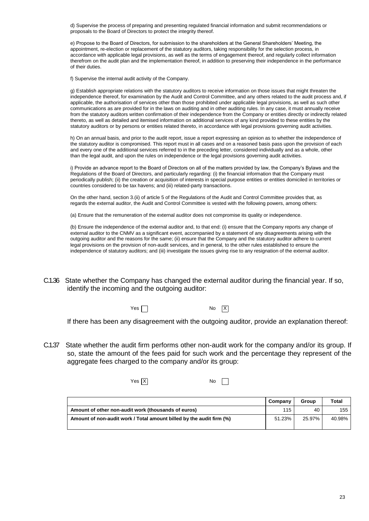d) Supervise the process of preparing and presenting regulated financial information and submit recommendations or proposals to the Board of Directors to protect the integrity thereof.

e) Propose to the Board of Directors, for submission to the shareholders at the General Shareholders' Meeting, the appointment, re-election or replacement of the statutory auditors, taking responsibility for the selection process, in accordance with applicable legal provisions, as well as the terms of engagement thereof, and regularly collect information therefrom on the audit plan and the implementation thereof, in addition to preserving their independence in the performance of their duties.

f) Supervise the internal audit activity of the Company.

g) Establish appropriate relations with the statutory auditors to receive information on those issues that might threaten the independence thereof, for examination by the Audit and Control Committee, and any others related to the audit process and, if applicable, the authorisation of services other than those prohibited under applicable legal provisions, as well as such other communications as are provided for in the laws on auditing and in other auditing rules. In any case, it must annually receive from the statutory auditors written confirmation of their independence from the Company or entities directly or indirectly related thereto, as well as detailed and itemised information on additional services of any kind provided to these entities by the statutory auditors or by persons or entities related thereto, in accordance with legal provisions governing audit activities.

h) On an annual basis, and prior to the audit report, issue a report expressing an opinion as to whether the independence of the statutory auditor is compromised. This report must in all cases and on a reasoned basis pass upon the provision of each and every one of the additional services referred to in the preceding letter, considered individually and as a whole, other than the legal audit, and upon the rules on independence or the legal provisions governing audit activities.

i) Provide an advance report to the Board of Directors on all of the matters provided by law, the Company's Bylaws and the Regulations of the Board of Directors, and particularly regarding: (i) the financial information that the Company must periodically publish; (ii) the creation or acquisition of interests in special purpose entities or entities domiciled in territories or countries considered to be tax havens; and (iii) related-party transactions.

On the other hand, section 3.(ii) of article 5 of the Regulations of the Audit and Control Committee provides that, as regards the external auditor, the Audit and Control Committee is vested with the following powers, among others:

(a) Ensure that the remuneration of the external auditor does not compromise its quality or independence.

(b) Ensure the independence of the external auditor and, to that end: (i) ensure that the Company reports any change of external auditor to the CNMV as a significant event, accompanied by a statement of any disagreements arising with the outgoing auditor and the reasons for the same; (ii) ensure that the Company and the statutory auditor adhere to current legal provisions on the provision of non-audit services, and in general, to the other rules established to ensure the independence of statutory auditors; and (iii) investigate the issues giving rise to any resignation of the external auditor.

C.1.36 State whether the Company has changed the external auditor during the financial year. If so, identify the incoming and the outgoing auditor:

Yes No

X

If there has been any disagreement with the outgoing auditor, provide an explanation thereof:

C.1.37 State whether the audit firm performs other non-audit work for the company and/or its group. If so, state the amount of the fees paid for such work and the percentage they represent of the aggregate fees charged to the company and/or its group:

X Yes No

**Company Group Total Amount of other non-audit work (thousands of euros)** 115 115 115 115 115 40 155 Amount of non-audit work / Total amount billed by the audit firm (%)  $\vert$  51.23% 25.97% 40.98%

 $\Box$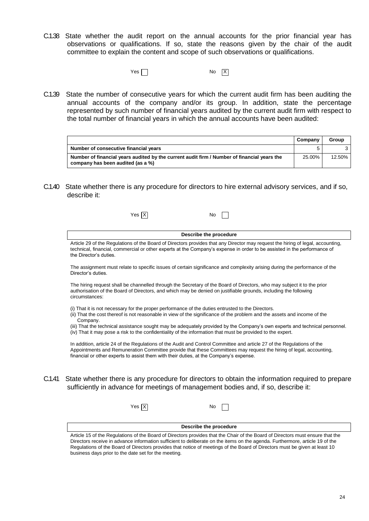- C.1.38 State whether the audit report on the annual accounts for the prior financial year has observations or qualifications. If so, state the reasons given by the chair of the audit committee to explain the content and scope of such observations or qualifications.
	- Yes  $\Box$ No  $\boxed{X}$
- C.1.39 State the number of consecutive years for which the current audit firm has been auditing the annual accounts of the company and/or its group. In addition, state the percentage represented by such number of financial years audited by the current audit firm with respect to the total number of financial years in which the annual accounts have been audited:

|                                                                                                                                  | Company | Group  |
|----------------------------------------------------------------------------------------------------------------------------------|---------|--------|
| Number of consecutive financial years                                                                                            | 5       |        |
| Number of financial years audited by the current audit firm / Number of financial years the<br>company has been audited (as a %) | 25.00%  | 12.50% |

C.1.40 State whether there is any procedure for directors to hire external advisory services, and if so, describe it:

|        | $Yes$ $X$<br>No                                                                                                                                                                                                                                                                                                                        |
|--------|----------------------------------------------------------------------------------------------------------------------------------------------------------------------------------------------------------------------------------------------------------------------------------------------------------------------------------------|
|        | Describe the procedure                                                                                                                                                                                                                                                                                                                 |
|        | Article 29 of the Regulations of the Board of Directors provides that any Director may request the hiring of legal, accounting,<br>technical, financial, commercial or other experts at the Company's expense in order to be assisted in the performance of<br>the Director's duties.                                                  |
|        | The assignment must relate to specific issues of certain significance and complexity arising during the performance of the<br>Director's duties.                                                                                                                                                                                       |
|        | The hiring request shall be channelled through the Secretary of the Board of Directors, who may subject it to the prior<br>authorisation of the Board of Directors, and which may be denied on justifiable grounds, including the following<br>circumstances:                                                                          |
|        | (i) That it is not necessary for the proper performance of the duties entrusted to the Directors.<br>(ii) That the cost thereof is not reasonable in view of the significance of the problem and the assets and income of the<br>Company.                                                                                              |
|        | (iii) That the technical assistance sought may be adequately provided by the Company's own experts and technical personnel.<br>(iv) That it may pose a risk to the confidentiality of the information that must be provided to the expert.                                                                                             |
|        | In addition, article 24 of the Regulations of the Audit and Control Committee and article 27 of the Regulations of the<br>Appointments and Remuneration Committee provide that these Committees may request the hiring of legal, accounting,<br>financial or other experts to assist them with their duties, at the Company's expense. |
| C.1.41 | State whether there is any procedure for directors to obtain the information required to prepare<br>sufficiently in advance for meetings of management bodies and, if so, describe it:                                                                                                                                                 |
|        | Yes   X<br>No                                                                                                                                                                                                                                                                                                                          |
|        | Describe the procedure                                                                                                                                                                                                                                                                                                                 |

Article 15 of the Regulations of the Board of Directors provides that the Chair of the Board of Directors must ensure that the Directors receive in advance information sufficient to deliberate on the items on the agenda. Furthermore, article 19 of the Regulations of the Board of Directors provides that notice of meetings of the Board of Directors must be given at least 10 business days prior to the date set for the meeting.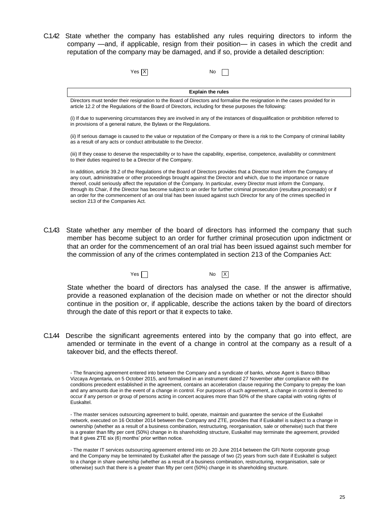C.1.42 State whether the company has established any rules requiring directors to inform the company —and, if applicable, resign from their position— in cases in which the credit and reputation of the company may be damaged, and if so, provide a detailed description:

| Yes $ \overline{X} $ | No |  |
|----------------------|----|--|
|----------------------|----|--|

| <b>Explain the rules</b>                                                                                                                                                                                                               |
|----------------------------------------------------------------------------------------------------------------------------------------------------------------------------------------------------------------------------------------|
| Directors must tender their resignation to the Board of Directors and formalise the resignation in the cases provided for in<br>article 12.2 of the Regulations of the Board of Directors, including for these purposes the following: |

(i) If due to supervening circumstances they are involved in any of the instances of disqualification or prohibition referred to in provisions of a general nature, the Bylaws or the Regulations.

(ii) If serious damage is caused to the value or reputation of the Company or there is a risk to the Company of criminal liability as a result of any acts or conduct attributable to the Director.

(iii) If they cease to deserve the respectability or to have the capability, expertise, competence, availability or commitment to their duties required to be a Director of the Company.

In addition, article 39.2 of the Regulations of the Board of Directors provides that a Director must inform the Company of any court, administrative or other proceedings brought against the Director and which, due to the importance or nature thereof, could seriously affect the reputation of the Company. In particular, every Director must inform the Company, through its Chair, if the Director has become subject to an order for further criminal prosecution (*resultara procesado*) or if an order for the commencement of an oral trial has been issued against such Director for any of the crimes specified in section 213 of the Companies Act.

C.1.43 State whether any member of the board of directors has informed the company that such member has become subject to an order for further criminal prosecution upon indictment or that an order for the commencement of an oral trial has been issued against such member for the commission of any of the crimes contemplated in section 213 of the Companies Act:

> Yes  $\Box$ No  $\overline{X}$

State whether the board of directors has analysed the case. If the answer is affirmative, provide a reasoned explanation of the decision made on whether or not the director should continue in the position or, if applicable, describe the actions taken by the board of directors through the date of this report or that it expects to take.

C.1.44 Describe the significant agreements entered into by the company that go into effect, are amended or terminate in the event of a change in control at the company as a result of a takeover bid, and the effects thereof.

- The financing agreement entered into between the Company and a syndicate of banks, whose Agent is Banco Bilbao Vizcaya Argentaria, on 5 October 2015, and formalised in an instrument dated 27 November after compliance with the conditions precedent established in the agreement, contains an acceleration clause requiring the Company to prepay the loan and any amounts due in the event of a change in control. For purposes of such agreement, a change in control is deemed to occur if any person or group of persons acting in concert acquires more than 50% of the share capital with voting rights of Euskaltel.

- The master services outsourcing agreement to build, operate, maintain and guarantee the service of the Euskaltel network, executed on 16 October 2014 between the Company and ZTE, provides that if Euskaltel is subject to a change in ownership (whether as a result of a business combination, restructuring, reorganisation, sale or otherwise) such that there is a greater than fifty per cent (50%) change in its shareholding structure, Euskaltel may terminate the agreement, provided that it gives ZTE six (6) months' prior written notice.

- The master IT services outsourcing agreement entered into on 20 June 2014 between the GFI Norte corporate group and the Company may be terminated by Euskaltel after the passage of two (2) years from such date if Euskaltel is subject to a change in share ownership (whether as a result of a business combination, restructuring, reorganisation, sale or otherwise) such that there is a greater than fifty per cent (50%) change in its shareholding structure.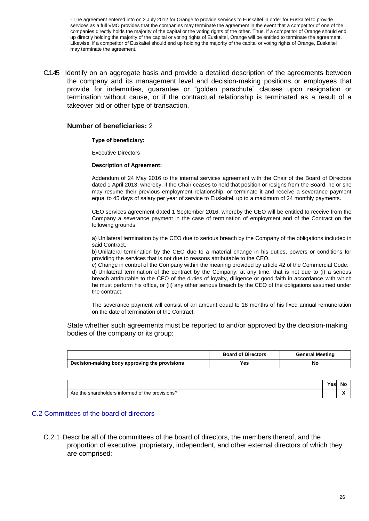- The agreement entered into on 2 July 2012 for Orange to provide services to Euskaltel in order for Euskaltel to provide services as a full VMO provides that the companies may terminate the agreement in the event that a competitor of one of the companies directly holds the majority of the capital or the voting rights of the other. Thus, if a competitor of Orange should end up directly holding the majority of the capital or voting rights of Euskaltel, Orange will be entitled to terminate the agreement. Likewise, if a competitor of Euskaltel should end up holding the majority of the capital or voting rights of Orange, Euskaltel may terminate the agreement.

C.1.45 Identify on an aggregate basis and provide a detailed description of the agreements between the company and its management level and decision-making positions or employees that provide for indemnities, guarantee or "golden parachute" clauses upon resignation or termination without cause, or if the contractual relationship is terminated as a result of a takeover bid or other type of transaction.

### **Number of beneficiaries:** 2

### **Type of beneficiary:**

Executive Directors

### **Description of Agreement:**

Addendum of 24 May 2016 to the internal services agreement with the Chair of the Board of Directors dated 1 April 2013, whereby, if the Chair ceases to hold that position or resigns from the Board, he or she may resume their previous employment relationship, or terminate it and receive a severance payment equal to 45 days of salary per year of service to Euskaltel, up to a maximum of 24 monthly payments.

CEO services agreement dated 1 September 2016, whereby the CEO will be entitled to receive from the Company a severance payment in the case of termination of employment and of the Contract on the following grounds:

a) Unilateral termination by the CEO due to serious breach by the Company of the obligations included in said Contract.

b) Unilateral termination by the CEO due to a material change in his duties, powers or conditions for providing the services that is not due to reasons attributable to the CEO.

c) Change in control of the Company within the meaning provided by article 42 of the Commercial Code. d) Unilateral termination of the contract by the Company, at any time, that is not due to (i) a serious breach attributable to the CEO of the duties of loyalty, diligence or good faith in accordance with which he must perform his office, or (ii) any other serious breach by the CEO of the obligations assumed under the contract.

The severance payment will consist of an amount equal to 18 months of his fixed annual remuneration on the date of termination of the Contract.

State whether such agreements must be reported to and/or approved by the decision-making bodies of the company or its group:

|                                               | <b>Board of Directors</b> | <b>General Meeting</b> |
|-----------------------------------------------|---------------------------|------------------------|
| Decision-making body approving the provisions | Yes                       | No                     |

|                                                  | ×es⊦ | .Nc                         |
|--------------------------------------------------|------|-----------------------------|
| Are the shareholders informed of the provisions? |      | $\ddot{\phantom{1}}$<br>. . |

### C.2 Committees of the board of directors

C.2.1 Describe all of the committees of the board of directors, the members thereof, and the proportion of executive, proprietary, independent, and other external directors of which they are comprised: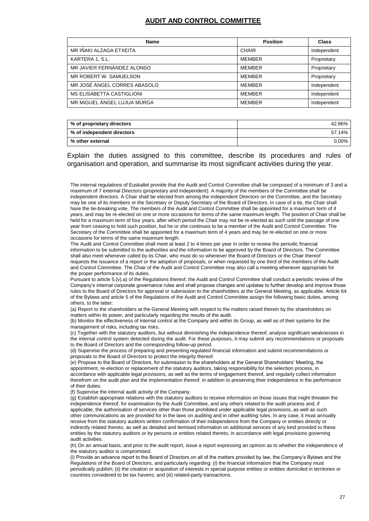### **AUDIT AND CONTROL COMMITTEE**

| <b>Name</b>                      | <b>Position</b> | Class       |
|----------------------------------|-----------------|-------------|
| MR IÑAKI ALZAGA ETXEITA          | <b>CHAIR</b>    | Independent |
| KARTERA 1, S.L.                  | MEMBER          | Proprietary |
| MR JAVIER FERNÁNDEZ ALONSO       | MEMBER          | Proprietary |
| MR ROBERT W. SAMUELSON           | MEMBER          | Proprietary |
| MR JOSÉ ÁNGEL CORRES ABASOLO     | MEMBER          | Independent |
| <b>MS ELISABETTA CASTIGLIONI</b> | MEMBER          | Independent |
| MR MIGUEL ÁNGEL LUJUA MURGA      | MEMBER          | Independent |

| % of proprietary directors | 42.86% |
|----------------------------|--------|
| % of independent directors | 57.14% |
| % other external           | 0.00%  |

Explain the duties assigned to this committee, describe its procedures and rules of organisation and operation, and summarise its most significant activities during the year.

The internal regulations of Euskaltel provide that the Audit and Control Committee shall be composed of a minimum of 3 and a maximum of 7 external Directors (proprietary and independent). A majority of the members of the Committee shall be independent directors. A Chair shall be elected from among the independent Directors on the Committee, and the Secretary may be one of its members or the Secretary or Deputy Secretary of the Board of Directors. In case of a tie, the Chair shall have the tie-breaking vote. The members of the Audit and Control Committee shall be appointed for a maximum term of 4 years, and may be re-elected on one or more occasions for terms of the same maximum length. The position of Chair shall be held for a maximum term of four years, after which period the Chair may not be re-elected as such until the passage of one year from ceasing to hold such position, but he or she continues to be a member of the Audit and Control Committee. The Secretary of the Committee shall be appointed for a maximum term of 4 years and may be re-elected on one or more occasions for terms of the same maximum length.

The Audit and Control Committee shall meet at least 2 to 4 times per year in order to review the periodic financial information to be submitted to the authorities and the information to be approved by the Board of Directors. The Committee shall also meet whenever called by its Chair, who must do so whenever the Board of Directors or the Chair thereof requests the issuance of a report or the adoption of proposals, or when requested by one third of the members of the Audit and Control Committee. The Chair of the Audit and Control Committee may also call a meeting whenever appropriate for the proper performance of its duties.

Pursuant to article 5.(v).a) of the Regulations thereof, the Audit and Control Committee shall conduct a periodic review of the Company's internal corporate governance rules and shall propose changes and updates to further develop and improve those rules to the Board of Directors for approval or submission to the shareholders at the General Meeting, as applicable. Article 64 of the Bylaws and article 5 of the Regulations of the Audit and Control Committee assign the following basic duties, among others, to the latter:

(a) Report to the shareholders at the General Meeting with respect to the matters raised therein by the shareholders on matters within its power, and particularly regarding the results of the audit.

(b) Monitor the effectiveness of internal control at the Company and within its Group, as well as of their systems for the management of risks, including tax risks.

(c) Together with the statutory auditors, but without diminishing the independence thereof, analyse significant weaknesses in the internal control system detected during the audit. For these purposes, it may submit any recommendations or proposals to the Board of Directors and the corresponding follow-up period.

(d) Supervise the process of preparing and presenting regulated financial information and submit recommendations or proposals to the Board of Directors to protect the integrity thereof.

(e) Propose to the Board of Directors, for submission to the shareholders at the General Shareholders' Meeting, the appointment, re-election or replacement of the statutory auditors, taking responsibility for the selection process, in accordance with applicable legal provisions, as well as the terms of engagement thereof, and regularly collect information therefrom on the audit plan and the implementation thereof, in addition to preserving their independence in the performance of their duties.

(f) Supervise the internal audit activity of the Company.

(g) Establish appropriate relations with the statutory auditors to receive information on those issues that might threaten the independence thereof, for examination by the Audit Committee, and any others related to the audit process and, if applicable, the authorisation of services other than those prohibited under applicable legal provisions, as well as such other communications as are provided for in the laws on auditing and in other auditing rules. In any case, it must annually receive from the statutory auditors written confirmation of their independence from the Company or entities directly or indirectly related thereto, as well as detailed and itemised information on additional services of any kind provided to these entities by the statutory auditors or by persons or entities related thereto, in accordance with legal provisions governing audit activities.

(h) On an annual basis, and prior to the audit report, issue a report expressing an opinion as to whether the independence of the statutory auditor is compromised.

(i) Provide an advance report to the Board of Directors on all of the matters provided by law, the Company's Bylaws and the Regulations of the Board of Directors, and particularly regarding: (i) the financial information that the Company must periodically publish; (ii) the creation or acquisition of interests in special purpose entities or entities domiciled in territories or countries considered to be tax havens; and (iii) related-party transactions.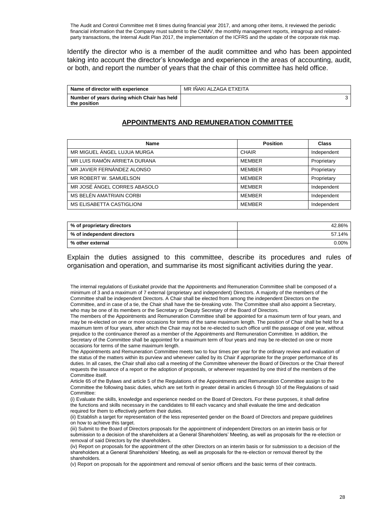The Audit and Control Committee met 8 times during financial year 2017, and among other items, it reviewed the periodic financial information that the Company must submit to the CNMV, the monthly management reports, intragroup and relatedparty transactions, the Internal Audit Plan 2017, the implementation of the ICFRS and the update of the corporate risk map.

Identify the director who is a member of the audit committee and who has been appointed taking into account the director's knowledge and experience in the areas of accounting, audit, or both, and report the number of years that the chair of this committee has held office.

| Name of director with experience                            | MR IÑAKI ALZAGA ETXEITA |
|-------------------------------------------------------------|-------------------------|
| Number of years during which Chair has held<br>the position |                         |

## **APPOINTMENTS AND REMUNERATION COMMITTEE**

| <b>Name</b>                      | <b>Position</b> | Class       |
|----------------------------------|-----------------|-------------|
| MR MIGUEL ÁNGEL LUJUA MURGA      | <b>CHAIR</b>    | Independent |
| MR LUIS RAMÓN ARRIETA DURANA     | <b>MEMBER</b>   | Proprietary |
| MR JAVIER FERNÁNDEZ ALONSO       | <b>MEMBER</b>   | Proprietary |
| MR ROBERT W. SAMUELSON           | <b>MEMBER</b>   | Proprietary |
| MR JOSÉ ÁNGEL CORRES ABASOLO     | <b>MFMBFR</b>   | Independent |
| MS BELÉN AMATRIAIN CORBI         | <b>MEMBER</b>   | Independent |
| <b>MS ELISABETTA CASTIGLIONI</b> | <b>MEMBER</b>   | Independent |

| % of proprietary directors | 42.86% |
|----------------------------|--------|
| % of independent directors | 57.14% |
| % other external           | 0.00%  |

Explain the duties assigned to this committee, describe its procedures and rules of organisation and operation, and summarise its most significant activities during the year.

The internal regulations of Euskaltel provide that the Appointments and Remuneration Committee shall be composed of a minimum of 3 and a maximum of 7 external (proprietary and independent) Directors. A majority of the members of the Committee shall be independent Directors. A Chair shall be elected from among the independent Directors on the Committee, and in case of a tie, the Chair shall have the tie-breaking vote. The Committee shall also appoint a Secretary, who may be one of its members or the Secretary or Deputy Secretary of the Board of Directors.

The members of the Appointments and Remuneration Committee shall be appointed for a maximum term of four years, and may be re-elected on one or more occasions for terms of the same maximum length. The position of Chair shall be held for a maximum term of four years, after which the Chair may not be re-elected to such office until the passage of one year, without prejudice to the continuance thereof as a member of the Appointments and Remuneration Committee. In addition, the Secretary of the Committee shall be appointed for a maximum term of four years and may be re-elected on one or more occasions for terms of the same maximum length.

The Appointments and Remuneration Committee meets two to four times per year for the ordinary review and evaluation of the status of the matters within its purview and whenever called by its Chair if appropriate for the proper performance of its duties. In all cases, the Chair shall also call a meeting of the Committee whenever the Board of Directors or the Chair thereof requests the issuance of a report or the adoption of proposals, or whenever requested by one third of the members of the Committee itself.

Article 65 of the Bylaws and article 5 of the Regulations of the Appointments and Remuneration Committee assign to the Committee the following basic duties, which are set forth in greater detail in articles 6 through 10 of the Regulations of said Committee:

(i) Evaluate the skills, knowledge and experience needed on the Board of Directors. For these purposes, it shall define the functions and skills necessary in the candidates to fill each vacancy and shall evaluate the time and dedication required for them to effectively perform their duties.

(ii) Establish a target for representation of the less represented gender on the Board of Directors and prepare guidelines on how to achieve this target.

(iii) Submit to the Board of Directors proposals for the appointment of independent Directors on an interim basis or for submission to a decision of the shareholders at a General Shareholders' Meeting, as well as proposals for the re-election or removal of said Directors by the shareholders.

(iv) Report on proposals for the appointment of the other Directors on an interim basis or for submission to a decision of the shareholders at a General Shareholders' Meeting, as well as proposals for the re-election or removal thereof by the shareholders.

(v) Report on proposals for the appointment and removal of senior officers and the basic terms of their contracts.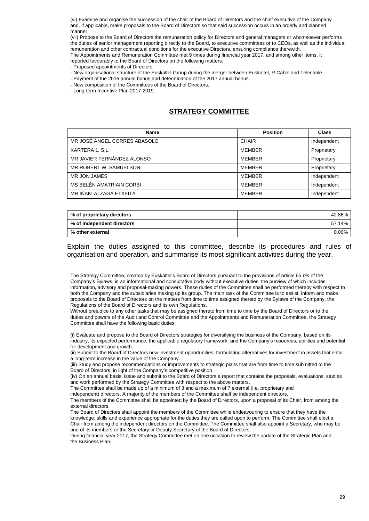(vi) Examine and organise the succession of the chair of the Board of Directors and the chief executive of the Company and, if applicable, make proposals to the Board of Directors so that said succession occurs in an orderly and planned manner.

(vii) Propose to the Board of Directors the remuneration policy for Directors and general managers or whomsoever performs the duties of senior management reporting directly to the Board, to executive committees or to CEOs, as well as the individual remuneration and other contractual conditions for the executive Directors, ensuring compliance therewith. The Appointments and Remuneration Committee met 9 times during financial year 2017, and among other items, it reported favourably to the Board of Directors on the following matters:

- Proposed appointments of Directors.
- New organisational structure of the Euskaltel Group during the merger between Euskaltel, R Cable and Telecable.
- Payment of the 2016 annual bonus and determination of the 2017 annual bonus.
- New composition of the Committees of the Board of Directors.
- Long-term Incentive Plan 2017-2019.

## **STRATEGY COMMITTEE**

| <b>Name</b>                  | <b>Position</b> | <b>Class</b> |
|------------------------------|-----------------|--------------|
| MR JOSÉ ÁNGEL CORRES ABASOLO | <b>CHAIR</b>    | Independent  |
| KARTERA 1, S.L.              | <b>MEMBER</b>   | Proprietary  |
| MR JAVIER FERNÁNDEZ ALONSO   | <b>MEMBER</b>   | Proprietary  |
| MR ROBERT W. SAMUELSON       | <b>MEMBER</b>   | Proprietary  |
| MR JON JAMES                 | <b>MEMBER</b>   | Independent  |
| MS BELÉN AMATRIAIN CORBI     | <b>MEMBER</b>   | Independent  |
| MR IÑAKI ALZAGA ETXEITA      | <b>MEMBER</b>   | Independent  |

| % of proprietary directors | 42.86% |
|----------------------------|--------|
| % of independent directors | 57.14% |
| % other external           | 0.00%  |

Explain the duties assigned to this committee, describe its procedures and rules of organisation and operation, and summarise its most significant activities during the year.

The Strategy Committee, created by Euskaltel's Board of Directors pursuant to the provisions of article 65 *bis* of the Company's Bylaws, is an informational and consultative body without executive duties, the purview of which includes information, advisory and proposal-making powers. These duties of the Committee shall be performed thereby with respect to both the Company and the subsidiaries making up its group. The main task of the Committee is to assist, inform and make proposals to the Board of Directors on the matters from time to time assigned thereto by the Bylaws of the Company, the Regulations of the Board of Directors and its own Regulations.

Without prejudice to any other tasks that may be assigned thereto from time to time by the Board of Directors or to the duties and powers of the Audit and Control Committee and the Appointments and Remuneration Committee, the Strategy Committee shall have the following basic duties:

(i) Evaluate and propose to the Board of Directors strategies for diversifying the business of the Company, based on its industry, its expected performance, the applicable regulatory framework, and the Company's resources, abilities and potential for development and growth.

(ii) Submit to the Board of Directors new investment opportunities, formulating alternatives for investment in assets that entail a long-term increase in the value of the Company.

(iii) Study and propose recommendations or improvements to strategic plans that are from time to time submitted to the Board of Directors, in light of the Company's competitive position.

(iv) On an annual basis, issue and submit to the Board of Directors a report that contains the proposals, evaluations, studies and work performed by the Strategy Committee with respect to the above matters.

The Committee shall be made up of a minimum of 3 and a maximum of 7 external (i.e. proprietary and

independent) directors. A majority of the members of the Committee shall be independent directors.

The members of the Committee shall be appointed by the Board of Directors, upon a proposal of its Chair, from among the external directors.

The Board of Directors shall appoint the members of the Committee while endeavouring to ensure that they have the knowledge, skills and experience appropriate for the duties they are called upon to perform. The Committee shall elect a Chair from among the independent directors on the Committee. The Committee shall also appoint a Secretary, who may be one of its members or the Secretary or Deputy Secretary of the Board of Directors.

During financial year 2017, the Strategy Committee met on one occasion to review the update of the Strategic Plan and the Business Plan.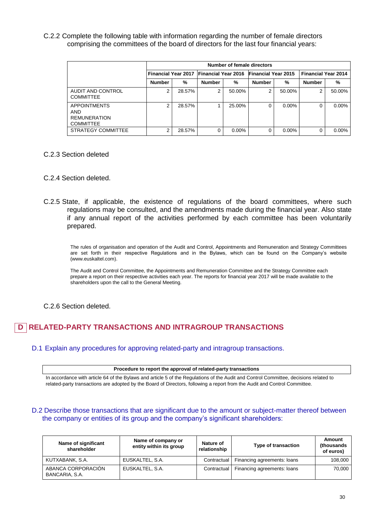C.2.2 Complete the following table with information regarding the number of female directors comprising the committees of the board of directors for the last four financial years:

|                                                                              | Number of female directors |        |                                         |          |                            |          |                            |          |
|------------------------------------------------------------------------------|----------------------------|--------|-----------------------------------------|----------|----------------------------|----------|----------------------------|----------|
|                                                                              |                            |        | Financial Year 2017 Financial Year 2016 |          | <b>Financial Year 2015</b> |          | <b>Financial Year 2014</b> |          |
|                                                                              | <b>Number</b>              | %      | <b>Number</b>                           | %        | <b>Number</b>              | %        | <b>Number</b>              | %        |
| AUDIT AND CONTROL<br><b>COMMITTEE</b>                                        | 2                          | 28.57% | 2                                       | 50.00%   | 2                          | 50.00%   | 2                          | 50.00%   |
| <b>APPOINTMENTS</b><br><b>AND</b><br><b>REMUNERATION</b><br><b>COMMITTEE</b> | 2                          | 28.57% |                                         | 25.00%   | 0                          | $0.00\%$ |                            | $0.00\%$ |
| STRATEGY COMMITTEE                                                           | $\overline{2}$             | 28.57% | 0                                       | $0.00\%$ | 0                          | $0.00\%$ |                            | $0.00\%$ |

C.2.3 Section deleted

### C.2.4 Section deleted.

C.2.5 State, if applicable, the existence of regulations of the board committees, where such regulations may be consulted, and the amendments made during the financial year. Also state if any annual report of the activities performed by each committee has been voluntarily prepared.

The rules of organisation and operation of the Audit and Control, Appointments and Remuneration and Strategy Committees are set forth in their respective Regulations and in the Bylaws, which can be found on the Company's website (www.euskaltel.com).

The Audit and Control Committee, the Appointments and Remuneration Committee and the Strategy Committee each prepare a report on their respective activities each year. The reports for financial year 2017 will be made available to the shareholders upon the call to the General Meeting.

### C.2.6 Section deleted.

#### **RELATED-PARTY TRANSACTIONS AND INTRAGROUP TRANSACTIONS D**

D.1 Explain any procedures for approving related-party and intragroup transactions.

**Procedure to report the approval of related-party transactions**

In accordance with article 64 of the Bylaws and article 5 of the Regulations of the Audit and Control Committee, decisions related to related-party transactions are adopted by the Board of Directors, following a report from the Audit and Control Committee.

### D.2 Describe those transactions that are significant due to the amount or subject-matter thereof between the company or entities of its group and the company's significant shareholders:

| Name of significant<br>shareholder   | Name of company or<br>entity within its group | Nature of<br>relationship | <b>Type of transaction</b>  | Amount<br>(thousands)<br>of euros) |
|--------------------------------------|-----------------------------------------------|---------------------------|-----------------------------|------------------------------------|
| KUTXABANK, S.A.                      | EUSKALTEL, S.A.                               | Contractual               | Financing agreements: loans | 108.000                            |
| ABANCA CORPORACIÓN<br>BANCARIA, S.A. | EUSKALTEL, S.A.                               | Contractual               | Financing agreements: loans | 70.000                             |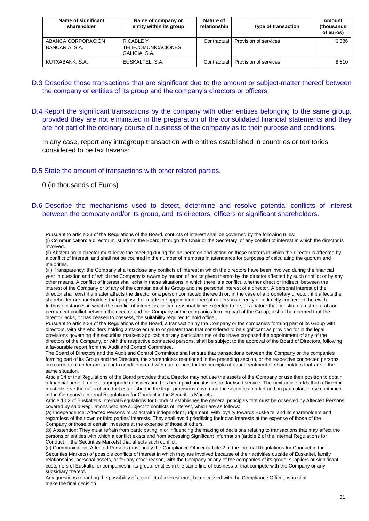| Name of significant<br>shareholder   | Name of company or<br>entity within its group           | Nature of<br>relationship | <b>Type of transaction</b> | Amount<br>(thousands)<br>of euros) |
|--------------------------------------|---------------------------------------------------------|---------------------------|----------------------------|------------------------------------|
| ABANCA CORPORACIÓN<br>BANCARIA, S.A. | R CABLE Y<br><b>TELECOMUNICACIONES</b><br>GALICIA, S.A. | Contractual               | Provision of services      | 6.586                              |
| KUTXABANK, S.A.                      | EUSKALTEL, S.A.                                         | Contractual               | Provision of services      | 8.810                              |

- D.3 Describe those transactions that are significant due to the amount or subject-matter thereof between the company or entities of its group and the company's directors or officers:
- D.4 Report the significant transactions by the company with other entities belonging to the same group, provided they are not eliminated in the preparation of the consolidated financial statements and they are not part of the ordinary course of business of the company as to their purpose and conditions.

In any case, report any intragroup transaction with entities established in countries or territories considered to be tax havens:

D.5 State the amount of transactions with other related parties.

0 (in thousands of Euros)

### D.6 Describe the mechanisms used to detect, determine and resolve potential conflicts of interest between the company and/or its group, and its directors, officers or significant shareholders.

Pursuant to article 33 of the Regulations of the Board, conflicts of interest shall be governed by the following rules:

(i) Communication: a director must inform the Board, through the Chair or the Secretary, of any conflict of interest in which the director is involved.

(ii) Abstention: a director must leave the meeting during the deliberation and voting on those matters in which the director is affected by a conflict of interest, and shall not be counted in the number of members in attendance for purposes of calculating the quorum and majorities.

(iii) Transparency: the Company shall disclose any conflicts of interest in which the directors have been involved during the financial year in question and of which the Company is aware by reason of notice given thereto by the director affected by such conflict or by any other means. A conflict of interest shall exist in those situations in which there is a conflict, whether direct or indirect, between the interest of the Company or of any of the companies of its Group and the personal interest of a director. A personal interest of the director shall exist if a matter affects the director or a person connected therewith or, in the case of a proprietary director, if it affects the shareholder or shareholders that proposed or made the appointment thereof or persons directly or indirectly connected therewith. In those instances in which the conflict of interest is, or can reasonably be expected to be, of a nature that constitutes a structural and permanent conflict between the director and the Company or the companies forming part of the Group, it shall be deemed that the director lacks, or has ceased to possess, the suitability required to hold office.

Pursuant to article 38 of the Regulations of the Board, a transaction by the Company or the companies forming part of its Group with directors, with shareholders holding a stake equal to or greater than that considered to be significant as provided for in the legal provisions governing the securities markets applicable at any particular time or that have proposed the appointment of any of the directors of the Company, or with the respective connected persons, shall be subject to the approval of the Board of Directors, following a favourable report from the Audit and Control Committee.

The Board of Directors and the Audit and Control Committee shall ensure that transactions between the Company or the companies forming part of its Group and the Directors, the shareholders mentioned in the preceding section, or the respective connected persons are carried out under arm's length conditions and with due respect for the principle of equal treatment of shareholders that are in the same situation.

Article 34 of the Regulations of the Board provides that a Director may not use the assets of the Company or use their position to obtain a financial benefit, unless appropriate consideration has been paid and it is a standardised service. The next article adds that a Director must observe the rules of conduct established in the legal provisions governing the securities market and, in particular, those contained in the Company's Internal Regulations for Conduct in the Securities Markets.

Article 10.2 of Euskaltel's Internal Regulations for Conduct establishes the general principles that must be observed by Affected Persons covered by said Regulations who are subject to conflicts of interest, which are as follows:

(a) Independence: Affected Persons must act with independent judgement, with loyalty towards Euskaltel and its shareholders and regardless of their own or third parties' interests. They shall avoid prioritising their own interests at the expense of those of the Company or those of certain investors at the expense of those of others.

(b) Abstention: They must refrain from participating in or influencing the making of decisions relating to transactions that may affect the persons or entities with which a conflict exists and from accessing Significant Information (article 2 of the Internal Regulations for Conduct in the Securities Markets) that affects such conflict.

(c) Communication: Affected Persons must notify the Compliance Officer (article 2 of the Internal Regulations for Conduct in the Securities Markets) of possible conflicts of interest in which they are involved because of their activities outside of Euskaltel, family relationships, personal assets, or for any other reason, with the Company or any of the companies of its group, suppliers or significant customers of Euskaltel or companies in its group, entities in the same line of business or that compete with the Company or any subsidiary thereof.

Any questions regarding the possibility of a conflict of interest must be discussed with the Compliance Officer, who shall make the final decision.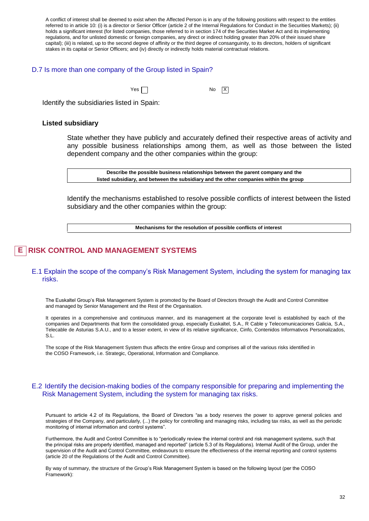A conflict of interest shall be deemed to exist when the Affected Person is in any of the following positions with respect to the entities referred to in article 10: (i) is a director or Senior Officer (article 2 of the Internal Regulations for Conduct in the Securities Markets); (ii) holds a significant interest (for listed companies, those referred to in section 174 of the Securities Market Act and its implementing regulations, and for unlisted domestic or foreign companies, any direct or indirect holding greater than 20% of their issued share capital); (iii) is related, up to the second degree of affinity or the third degree of consanguinity, to its directors, holders of significant stakes in its capital or Senior Officers; and (iv) directly or indirectly holds material contractual relations.

### D.7 Is more than one company of the Group listed in Spain?

 $Yes \frown$ 

 $\sqrt{X}$ 

Identify the subsidiaries listed in Spain:

### **Listed subsidiary**

State whether they have publicly and accurately defined their respective areas of activity and any possible business relationships among them, as well as those between the listed dependent company and the other companies within the group:

**Describe the possible business relationships between the parent company and the listed subsidiary, and between the subsidiary and the other companies within the group**

Identify the mechanisms established to resolve possible conflicts of interest between the listed subsidiary and the other companies within the group:

**Mechanisms for the resolution of possible conflicts of interest**

#### **RISK CONTROL AND MANAGEMENT SYSTEMS E**

### E.1 Explain the scope of the company's Risk Management System, including the system for managing tax risks.

The Euskaltel Group's Risk Management System is promoted by the Board of Directors through the Audit and Control Committee and managed by Senior Management and the Rest of the Organisation.

It operates in a comprehensive and continuous manner, and its management at the corporate level is established by each of the companies and Departments that form the consolidated group, especially Euskaltel, S.A., R Cable y Telecomunicaciones Galicia, S.A., Telecable de Asturias S.A.U., and to a lesser extent, in view of its relative significance, Cinfo, Contenidos Informativos Personalizados, S.L.

The scope of the Risk Management System thus affects the entire Group and comprises all of the various risks identified in the COSO Framework, i.e. Strategic, Operational, Information and Compliance.

### E.2 Identify the decision-making bodies of the company responsible for preparing and implementing the Risk Management System, including the system for managing tax risks.

Pursuant to article 4.2 of its Regulations, the Board of Directors "as a body reserves the power to approve general policies and strategies of the Company, and particularly, (...) the policy for controlling and managing risks, including tax risks, as well as the periodic monitoring of internal information and control systems".

Furthermore, the Audit and Control Committee is to "periodically review the internal control and risk management systems, such that the principal risks are properly identified, managed and reported" (article 5.3 of its Regulations). Internal Audit of the Group, under the supervision of the Audit and Control Committee, endeavours to ensure the effectiveness of the internal reporting and control systems (article 20 of the Regulations of the Audit and Control Committee).

By way of summary, the structure of the Group's Risk Management System is based on the following layout (per the COSO Framework):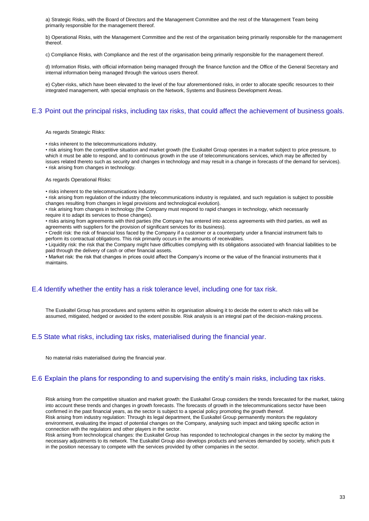a) Strategic Risks, with the Board of Directors and the Management Committee and the rest of the Management Team being primarily responsible for the management thereof.

b) Operational Risks, with the Management Committee and the rest of the organisation being primarily responsible for the management thereof.

c) Compliance Risks, with Compliance and the rest of the organisation being primarily responsible for the management thereof.

d) Information Risks, with official information being managed through the finance function and the Office of the General Secretary and internal information being managed through the various users thereof.

e) Cyber-risks, which have been elevated to the level of the four aforementioned risks, in order to allocate specific resources to their integrated management, with special emphasis on the Network, Systems and Business Development Areas.

### E.3 Point out the principal risks, including tax risks, that could affect the achievement of business goals.

As regards Strategic Risks:

• risks inherent to the telecommunications industry.

• risk arising from the competitive situation and market growth (the Euskaltel Group operates in a market subject to price pressure, to which it must be able to respond, and to continuous growth in the use of telecommunications services, which may be affected by issues related thereto such as security and changes in technology and may result in a change in forecasts of the demand for services). • risk arising from changes in technology.

As regards Operational Risks:

• risks inherent to the telecommunications industry.

• risk arising from regulation of the industry (the telecommunications industry is regulated, and such regulation is subject to possible changes resulting from changes in legal provisions and technological evolution).

• risk arising from changes in technology (the Company must respond to rapid changes in technology, which necessarily require it to adapt its services to those changes).

• risks arising from agreements with third parties (the Company has entered into access agreements with third parties, as well as agreements with suppliers for the provision of significant services for its business).

• Credit risk: the risk of financial loss faced by the Company if a customer or a counterparty under a financial instrument fails to perform its contractual obligations. This risk primarily occurs in the amounts of receivables.

• Liquidity risk: the risk that the Company might have difficulties complying with its obligations associated with financial liabilities to be paid through the delivery of cash or other financial assets.

• Market risk: the risk that changes in prices could affect the Company's income or the value of the financial instruments that it maintains.

### E.4 Identify whether the entity has a risk tolerance level, including one for tax risk.

The Euskaltel Group has procedures and systems within its organisation allowing it to decide the extent to which risks will be assumed, mitigated, hedged or avoided to the extent possible. Risk analysis is an integral part of the decision-making process.

### E.5 State what risks, including tax risks, materialised during the financial year.

No material risks materialised during the financial year.

### E.6 Explain the plans for responding to and supervising the entity's main risks, including tax risks.

Risk arising from the competitive situation and market growth: the Euskaltel Group considers the trends forecasted for the market, taking into account these trends and changes in growth forecasts. The forecasts of growth in the telecommunications sector have been confirmed in the past financial years, as the sector is subject to a special policy promoting the growth thereof. Risk arising from industry regulation: Through its legal department, the Euskaltel Group permanently monitors the regulatory environment, evaluating the impact of potential changes on the Company, analysing such impact and taking specific action in connection with the regulators and other players in the sector.

Risk arising from technological changes: the Euskaltel Group has responded to technological changes in the sector by making the necessary adjustments to its network. The Euskaltel Group also develops products and services demanded by society, which puts it in the position necessary to compete with the services provided by other companies in the sector.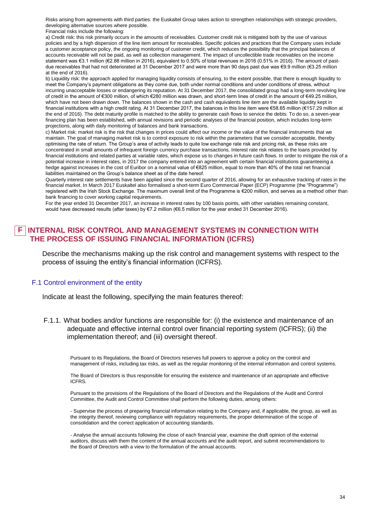Risks arising from agreements with third parties: the Euskaltel Group takes action to strengthen relationships with strategic providers, developing alternative sources where possible.

Financial risks include the following:

a) Credit risk: this risk primarily occurs in the amounts of receivables. Customer credit risk is mitigated both by the use of various policies and by a high dispersion of the line item amount for receivables. Specific policies and practices that the Company uses include a customer acceptance policy, the ongoing monitoring of customer credit, which reduces the possibility that the principal balances of accounts receivable will not be paid, as well as collection management. The impact of uncollectible trade receivables on the income statement was €3.1 million (€2.88 million in 2016), equivalent to 0.50% of total revenues in 2016 (0.51% in 2016). The amount of pastdue receivables that had not deteriorated at 31 December 2017 and were more than 90 days past due was €9.9 million (€3.25 million at the end of 2016).

b) Liquidity risk: the approach applied for managing liquidity consists of ensuring, to the extent possible, that there is enough liquidity to meet the Company's payment obligations as they come due, both under normal conditions and under conditions of stress, without incurring unacceptable losses or endangering its reputation. At 31 December 2017, the consolidated group had a long-term revolving line of credit in the amount of €300 million, of which €280 million was drawn, and short-term lines of credit in the amount of €49.25 million, which have not been drawn down. The balances shown in the cash and cash equivalents line item are the available liquidity kept in financial institutions with a high credit rating. At 31 December 2017, the balances in this line item were €58.65 million (€157.29 million at the end of 2016). The debt maturity profile is matched to the ability to generate cash flows to service the debts. To do so, a seven-year financing plan has been established, with annual revisions and periodic analyses of the financial position, which includes long-term projections, along with daily monitoring of balances and bank transactions.

c) Market risk: market risk is the risk that changes in prices could affect our income or the value of the financial instruments that we maintain. The goal of managing market risk is to control exposure to risk within the parameters that we consider acceptable, thereby optimising the rate of return. The Group's area of activity leads to quite low exchange rate risk and pricing risk, as these risks are concentrated in small amounts of infrequent foreign currency purchase transactions. Interest rate risk relates to the loans provided by financial institutions and related parties at variable rates, which expose us to changes in future cash flows. In order to mitigate the risk of a potential increase in interest rates, in 2017 the company entered into an agreement with certain financial institutions guaranteeing a hedge against increases in the cost of Euribor on a nominal value of €825 million, equal to more than 40% of the total net financial liabilities maintained on the Group's balance sheet as of the date hereof.

Quarterly interest rate settlements have been applied since the second quarter of 2016, allowing for an exhaustive tracking of rates in the financial market. In March 2017 Euskaltel also formalised a short-term Euro Commercial Paper (ECP) Programme (the "Programme") registered with the Irish Stock Exchange. The maximum overall limit of the Programme is €200 million, and serves as a method other than bank financing to cover working capital requirements.

For the year ended 31 December 2017, an increase in interest rates by 100 basis points, with other variables remaining constant, would have decreased results (after taxes) by €7.2 million (€6.5 million for the year ended 31 December 2016).

#### **INTERNAL RISK CONTROL AND MANAGEMENT SYSTEMS IN CONNECTION WITH THE PROCESS OF ISSUING FINANCIAL INFORMATION (ICFRS) F**

Describe the mechanisms making up the risk control and management systems with respect to the process of issuing the entity's financial information (ICFRS).

### F.1 Control environment of the entity

Indicate at least the following, specifying the main features thereof:

F.1.1. What bodies and/or functions are responsible for: (i) the existence and maintenance of an adequate and effective internal control over financial reporting system (ICFRS); (ii) the implementation thereof; and (iii) oversight thereof.

Pursuant to its Regulations, the Board of Directors reserves full powers to approve a policy on the control and management of risks, including tax risks, as well as the regular monitoring of the internal information and control systems.

The Board of Directors is thus responsible for ensuring the existence and maintenance of an appropriate and effective ICFRS.

Pursuant to the provisions of the Regulations of the Board of Directors and the Regulations of the Audit and Control Committee, the Audit and Control Committee shall perform the following duties, among others:

- Supervise the process of preparing financial information relating to the Company and, if applicable, the group, as well as the integrity thereof, reviewing compliance with regulatory requirements, the proper determination of the scope of consolidation and the correct application of accounting standards.

- Analyse the annual accounts following the close of each financial year, examine the draft opinion of the external auditors, discuss with them the content of the annual accounts and the audit report, and submit recommendations to the Board of Directors with a view to the formulation of the annual accounts.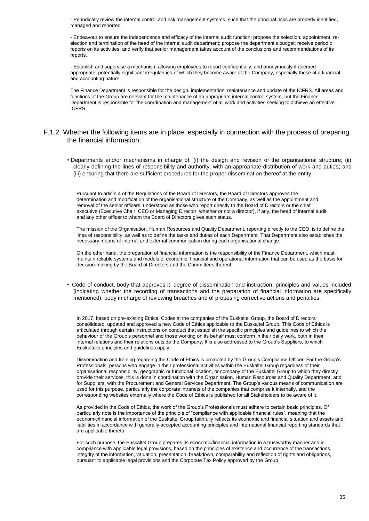- Periodically review the internal control and risk management systems, such that the principal risks are properly identified, managed and reported.

- Endeavour to ensure the independence and efficacy of the internal audit function; propose the selection, appointment, reelection and termination of the head of the internal audit department; propose the department's budget; receive periodic reports on its activities; and verify that senior management takes account of the conclusions and recommendations of its reports.

- Establish and supervise a mechanism allowing employees to report confidentially, and anonymously if deemed appropriate, potentially significant irregularities of which they become aware at the Company, especially those of a financial and accounting nature.

The Finance Department is responsible for the design, implementation, maintenance and update of the ICFRS. All areas and functions of the Group are relevant for the maintenance of an appropriate internal control system, but the Finance Department is responsible for the coordination and management of all work and activities seeking to achieve an effective ICFRS.

### F.1.2. Whether the following items are in place, especially in connection with the process of preparing the financial information:

• Departments and/or mechanisms in charge of: (i) the design and revision of the organisational structure; (ii) clearly defining the lines of responsibility and authority, with an appropriate distribution of work and duties; and (iii) ensuring that there are sufficient procedures for the proper dissemination thereof at the entity.

Pursuant to article 4 of the Regulations of the Board of Directors, the Board of Directors approves the determination and modification of the organisational structure of the Company, as well as the appointment and removal of the senior officers, understood as those who report directly to the Board of Directors or the chief executive (Executive Chair, CEO or Managing Director, whether or not a director), if any, the head of internal audit and any other officer to whom the Board of Directors gives such status.

The mission of the Organisation, Human Resources and Quality Department, reporting directly to the CEO, is to define the lines of responsibility, as well as to define the tasks and duties of each Department. That Department also establishes the necessary means of internal and external communication during each organisational change.

On the other hand, the preparation of financial information is the responsibility of the Finance Department, which must maintain reliable systems and models of economic, financial and operational information that can be used as the basis for decision-making by the Board of Directors and the Committees thereof.

• Code of conduct, body that approves it, degree of dissemination and instruction, principles and values included (indicating whether the recording of transactions and the preparation of financial information are specifically mentioned), body in charge of reviewing breaches and of proposing corrective actions and penalties.

In 2017, based on pre-existing Ethical Codes at the companies of the Euskaltel Group, the Board of Directors consolidated, updated and approved a new Code of Ethics applicable to the Euskaltel Group. This Code of Ethics is articulated through certain Instructions on conduct that establish the specific principles and guidelines to which the behaviour of the Group's personnel and those working on its behalf must conform in their daily work, both in their internal relations and their relations outside the Company. It is also addressed to the Group's Suppliers, to which Euskaltel's principles and guidelines apply.

Dissemination and training regarding the Code of Ethics is promoted by the Group's Compliance Officer. For the Group's Professionals, persons who engage in their professional activities within the Euskaltel Group regardless of their organisational responsibility, geographic or functional location, or company of the Euskaltel Group to which they directly provide their services, this is done in coordination with the Organisation, Human Resources and Quality Department, and for Suppliers, with the Procurement and General Services Department. The Group's various means of communication are used for this purpose, particularly the corporate intranets of the companies that comprise it internally, and the corresponding websites externally where the Code of Ethics is published for all Stakeholders to be aware of it.

As provided in the Code of Ethics, the work of the Group's Professionals must adhere to certain basic principles. Of particularly note is the importance of the principle of "compliance with applicable financial rules", meaning that the economic/financial information of the Euskaltel Group faithfully reflects its economic and financial situation and assets and liabilities in accordance with generally accepted accounting principles and international financial reporting standards that are applicable thereto.

For such purpose, the Euskaltel Group prepares its economic/financial information in a trustworthy manner and in compliance with applicable legal provisions, based on the principles of existence and occurrence of the transactions, integrity of the information, valuation, presentation, breakdown, comparability and reflection of rights and obligations, pursuant to applicable legal provisions and the Corporate Tax Policy approved by the Group.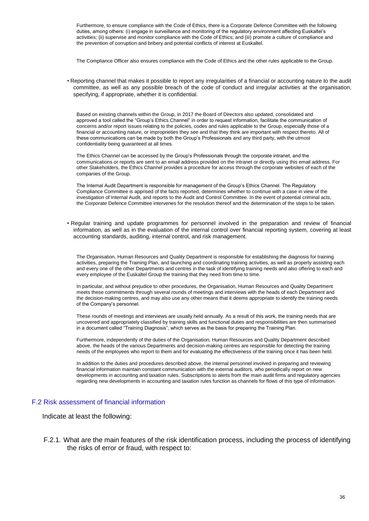Furthermore, to ensure compliance with the Code of Ethics, there is a Corporate Defence Committee with the following duties, among others: (i) engage in surveillance and monitoring of the regulatory environment affecting Euskaltel's activities; (ii) supervise and monitor compliance with the Code of Ethics; and (iii) promote a culture of compliance and the prevention of corruption and bribery and potential conflicts of interest at Euskaltel.

The Compliance Officer also ensures compliance with the Code of Ethics and the other rules applicable to the Group.

• Reporting channel that makes it possible to report any irregularities of a financial or accounting nature to the audit committee, as well as any possible breach of the code of conduct and irregular activities at the organisation, specifying, if appropriate, whether it is confidential.

Based on existing channels within the Group, in 2017 the Board of Directors also updated, consolidated and approved a tool called the "Group's Ethics Channel" in order to request information, facilitate the communication of concerns and/or report issues relating to the policies, codes and rules applicable to the Group, especially those of a financial or accounting nature, or improprieties they see and that they think are important with respect thereto. All of these communications can be made by both the Group's Professionals and any third party, with the utmost confidentiality being guaranteed at all times.

The Ethics Channel can be accessed by the Group's Professionals through the corporate intranet, and the communications or reports are sent to an email address provided on the intranet or directly using this email address. For other Stakeholders, the Ethics Channel provides a procedure for access through the corporate websites of each of the companies of the Group.

The Internal Audit Department is responsible for management of the Group's Ethics Channel. The Regulatory Compliance Committee is apprised of the facts reported, determines whether to continue with a case in view of the investigation of Internal Audit, and reports to the Audit and Control Committee. In the event of potential criminal acts, the Corporate Defence Committee intervenes for the resolution thereof and the determination of the steps to be taken.

• Regular training and update programmes for personnel involved in the preparation and review of financial information, as well as in the evaluation of the internal control over financial reporting system, covering at least accounting standards, auditing, internal control, and risk management.

The Organisation, Human Resources and Quality Department is responsible for establishing the diagnosis for training activities, preparing the Training Plan, and launching and coordinating training activities, as well as properly assisting each and every one of the other Departments and centres in the task of identifying training needs and also offering to each and every employee of the Euskaltel Group the training that they need from time to time.

In particular, and without prejudice to other procedures, the Organisation, Human Resources and Quality Department meets these commitments through several rounds of meetings and interviews with the heads of each Department and the decision-making centres, and may also use any other means that it deems appropriate to identify the training needs of the Company's personnel.

These rounds of meetings and interviews are usually held annually. As a result of this work, the training needs that are uncovered and appropriately classified by training skills and functional duties and responsibilities are then summarised in a document called "Training Diagnosis", which serves as the basis for preparing the Training Plan.

Furthermore, independently of the duties of the Organisation, Human Resources and Quality Department described above, the heads of the various Departments and decision-making centres are responsible for detecting the training needs of the employees who report to them and for evaluating the effectiveness of the training once it has been held.

In addition to the duties and procedures described above, the internal personnel involved in preparing and reviewing financial information maintain constant communication with the external auditors, who periodically report on new developments in accounting and taxation rules. Subscriptions to alerts from the main audit firms and regulatory agencies regarding new developments in accounting and taxation rules function as channels for flows of this type of information.

### F.2 Risk assessment of financial information

Indicate at least the following:

F.2.1. What are the main features of the risk identification process, including the process of identifying the risks of error or fraud, with respect to: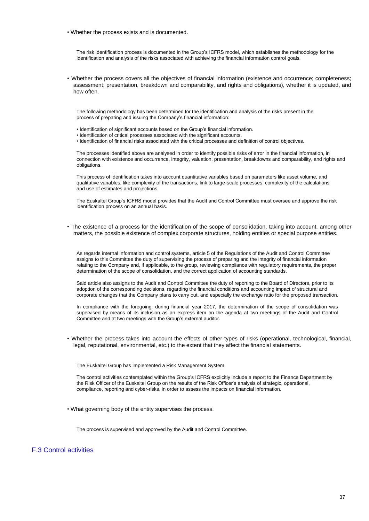• Whether the process exists and is documented.

The risk identification process is documented in the Group's ICFRS model, which establishes the methodology for the identification and analysis of the risks associated with achieving the financial information control goals.

• Whether the process covers all the objectives of financial information (existence and occurrence; completeness; assessment; presentation, breakdown and comparability, and rights and obligations), whether it is updated, and how often.

The following methodology has been determined for the identification and analysis of the risks present in the process of preparing and issuing the Company's financial information:

- Identification of significant accounts based on the Group's financial information.
- Identification of critical processes associated with the significant accounts.
- Identification of financial risks associated with the critical processes and definition of control objectives.

The processes identified above are analysed in order to identify possible risks of error in the financial information, in connection with existence and occurrence, integrity, valuation, presentation, breakdowns and comparability, and rights and obligations.

This process of identification takes into account quantitative variables based on parameters like asset volume, and qualitative variables, like complexity of the transactions, link to large-scale processes, complexity of the calculations and use of estimates and projections.

The Euskaltel Group's ICFRS model provides that the Audit and Control Committee must oversee and approve the risk identification process on an annual basis.

• The existence of a process for the identification of the scope of consolidation, taking into account, among other matters, the possible existence of complex corporate structures, holding entities or special purpose entities.

As regards internal information and control systems, article 5 of the Regulations of the Audit and Control Committee assigns to this Committee the duty of supervising the process of preparing and the integrity of financial information relating to the Company and, if applicable, to the group, reviewing compliance with regulatory requirements, the proper determination of the scope of consolidation, and the correct application of accounting standards.

Said article also assigns to the Audit and Control Committee the duty of reporting to the Board of Directors, prior to its adoption of the corresponding decisions, regarding the financial conditions and accounting impact of structural and corporate changes that the Company plans to carry out, and especially the exchange ratio for the proposed transaction.

In compliance with the foregoing, during financial year 2017, the determination of the scope of consolidation was supervised by means of its inclusion as an express item on the agenda at two meetings of the Audit and Control Committee and at two meetings with the Group's external auditor.

• Whether the process takes into account the effects of other types of risks (operational, technological, financial, legal, reputational, environmental, etc.) to the extent that they affect the financial statements.

The Euskaltel Group has implemented a Risk Management System.

The control activities contemplated within the Group's ICFRS explicitly include a report to the Finance Department by the Risk Officer of the Euskaltel Group on the results of the Risk Officer's analysis of strategic, operational, compliance, reporting and cyber-risks, in order to assess the impacts on financial information.

• What governing body of the entity supervises the process.

The process is supervised and approved by the Audit and Control Committee.

## F.3 Control activities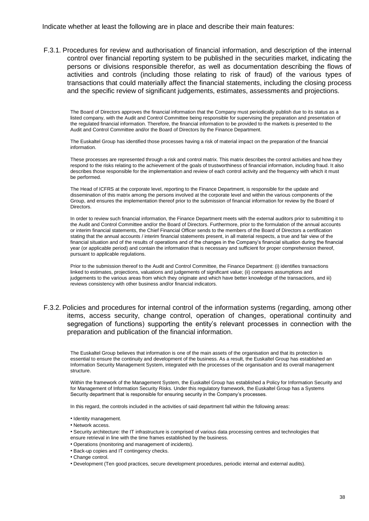Indicate whether at least the following are in place and describe their main features:

F.3.1. Procedures for review and authorisation of financial information, and description of the internal control over financial reporting system to be published in the securities market, indicating the persons or divisions responsible therefor, as well as documentation describing the flows of activities and controls (including those relating to risk of fraud) of the various types of transactions that could materially affect the financial statements, including the closing process and the specific review of significant judgements, estimates, assessments and projections.

The Board of Directors approves the financial information that the Company must periodically publish due to its status as a listed company, with the Audit and Control Committee being responsible for supervising the preparation and presentation of the regulated financial information. Therefore, the financial information to be provided to the markets is presented to the Audit and Control Committee and/or the Board of Directors by the Finance Department.

The Euskaltel Group has identified those processes having a risk of material impact on the preparation of the financial information.

These processes are represented through a risk and control matrix. This matrix describes the control activities and how they respond to the risks relating to the achievement of the goals of trustworthiness of financial information, including fraud. It also describes those responsible for the implementation and review of each control activity and the frequency with which it must be performed.

The Head of ICFRS at the corporate level, reporting to the Finance Department, is responsible for the update and dissemination of this matrix among the persons involved at the corporate level and within the various components of the Group, and ensures the implementation thereof prior to the submission of financial information for review by the Board of Directors.

In order to review such financial information, the Finance Department meets with the external auditors prior to submitting it to the Audit and Control Committee and/or the Board of Directors. Furthermore, prior to the formulation of the annual accounts or interim financial statements, the Chief Financial Officer sends to the members of the Board of Directors a certification stating that the annual accounts / interim financial statements present, in all material respects, a true and fair view of the financial situation and of the results of operations and of the changes in the Company's financial situation during the financial year (or applicable period) and contain the information that is necessary and sufficient for proper comprehension thereof, pursuant to applicable regulations.

Prior to the submission thereof to the Audit and Control Committee, the Finance Department: (i) identifies transactions linked to estimates, projections, valuations and judgements of significant value; (ii) compares assumptions and judgements to the various areas from which they originate and which have better knowledge of the transactions, and iii) reviews consistency with other business and/or financial indicators.

### F.3.2. Policies and procedures for internal control of the information systems (regarding, among other items, access security, change control, operation of changes, operational continuity and segregation of functions) supporting the entity's relevant processes in connection with the preparation and publication of the financial information.

The Euskaltel Group believes that information is one of the main assets of the organisation and that its protection is essential to ensure the continuity and development of the business. As a result, the Euskaltel Group has established an Information Security Management System, integrated with the processes of the organisation and its overall management structure.

Within the framework of the Management System, the Euskaltel Group has established a Policy for Information Security and for Management of Information Security Risks. Under this regulatory framework, the Euskaltel Group has a Systems Security department that is responsible for ensuring security in the Company's processes.

In this regard, the controls included in the activities of said department fall within the following areas:

- Identity management.
- Network access.
- Security architecture: the IT infrastructure is comprised of various data processing centres and technologies that ensure retrieval in line with the time frames established by the business.
- Operations (monitoring and management of incidents).
- Back-up copies and IT contingency checks.
- Change control.
- Development (Ten good practices, secure development procedures, periodic internal and external audits).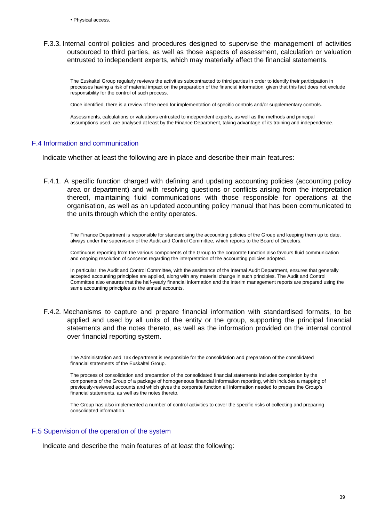F.3.3. Internal control policies and procedures designed to supervise the management of activities outsourced to third parties, as well as those aspects of assessment, calculation or valuation entrusted to independent experts, which may materially affect the financial statements.

The Euskaltel Group regularly reviews the activities subcontracted to third parties in order to identify their participation in processes having a risk of material impact on the preparation of the financial information, given that this fact does not exclude responsibility for the control of such process.

Once identified, there is a review of the need for implementation of specific controls and/or supplementary controls.

Assessments, calculations or valuations entrusted to independent experts, as well as the methods and principal assumptions used, are analysed at least by the Finance Department, taking advantage of its training and independence.

### F.4 Information and communication

Indicate whether at least the following are in place and describe their main features:

F.4.1. A specific function charged with defining and updating accounting policies (accounting policy area or department) and with resolving questions or conflicts arising from the interpretation thereof, maintaining fluid communications with those responsible for operations at the organisation, as well as an updated accounting policy manual that has been communicated to the units through which the entity operates.

The Finance Department is responsible for standardising the accounting policies of the Group and keeping them up to date, always under the supervision of the Audit and Control Committee, which reports to the Board of Directors.

Continuous reporting from the various components of the Group to the corporate function also favours fluid communication and ongoing resolution of concerns regarding the interpretation of the accounting policies adopted.

In particular, the Audit and Control Committee, with the assistance of the Internal Audit Department, ensures that generally accepted accounting principles are applied, along with any material change in such principles. The Audit and Control Committee also ensures that the half-yearly financial information and the interim management reports are prepared using the same accounting principles as the annual accounts.

F.4.2. Mechanisms to capture and prepare financial information with standardised formats, to be applied and used by all units of the entity or the group, supporting the principal financial statements and the notes thereto, as well as the information provided on the internal control over financial reporting system.

The Administration and Tax department is responsible for the consolidation and preparation of the consolidated financial statements of the Euskaltel Group.

The process of consolidation and preparation of the consolidated financial statements includes completion by the components of the Group of a package of homogeneous financial information reporting, which includes a mapping of previously-reviewed accounts and which gives the corporate function all information needed to prepare the Group's financial statements, as well as the notes thereto.

The Group has also implemented a number of control activities to cover the specific risks of collecting and preparing consolidated information.

### F.5 Supervision of the operation of the system

Indicate and describe the main features of at least the following: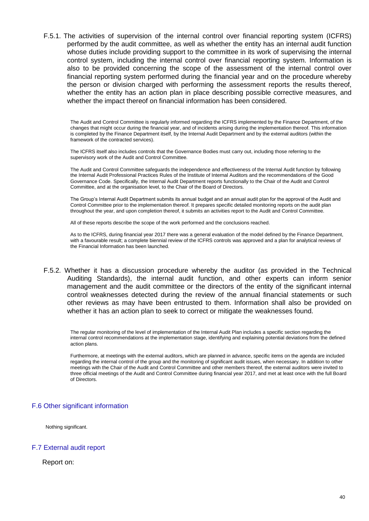F.5.1. The activities of supervision of the internal control over financial reporting system (ICFRS) performed by the audit committee, as well as whether the entity has an internal audit function whose duties include providing support to the committee in its work of supervising the internal control system, including the internal control over financial reporting system. Information is also to be provided concerning the scope of the assessment of the internal control over financial reporting system performed during the financial year and on the procedure whereby the person or division charged with performing the assessment reports the results thereof, whether the entity has an action plan in place describing possible corrective measures, and whether the impact thereof on financial information has been considered.

The Audit and Control Committee is regularly informed regarding the ICFRS implemented by the Finance Department, of the changes that might occur during the financial year, and of incidents arising during the implementation thereof. This information is completed by the Finance Department itself, by the Internal Audit Department and by the external auditors (within the framework of the contracted services).

The ICFRS itself also includes controls that the Governance Bodies must carry out, including those referring to the supervisory work of the Audit and Control Committee.

The Audit and Control Committee safeguards the independence and effectiveness of the Internal Audit function by following the Internal Audit Professional Practices Rules of the Institute of Internal Auditors and the recommendations of the Good Governance Code. Specifically, the Internal Audit Department reports functionally to the Chair of the Audit and Control Committee, and at the organisation level, to the Chair of the Board of Directors.

The Group's Internal Audit Department submits its annual budget and an annual audit plan for the approval of the Audit and Control Committee prior to the implementation thereof. It prepares specific detailed monitoring reports on the audit plan throughout the year, and upon completion thereof, it submits an activities report to the Audit and Control Committee.

All of these reports describe the scope of the work performed and the conclusions reached.

As to the ICFRS, during financial year 2017 there was a general evaluation of the model defined by the Finance Department, with a favourable result; a complete biennial review of the ICFRS controls was approved and a plan for analytical reviews of the Financial Information has been launched.

F.5.2. Whether it has a discussion procedure whereby the auditor (as provided in the Technical Auditing Standards), the internal audit function, and other experts can inform senior management and the audit committee or the directors of the entity of the significant internal control weaknesses detected during the review of the annual financial statements or such other reviews as may have been entrusted to them. Information shall also be provided on whether it has an action plan to seek to correct or mitigate the weaknesses found.

The regular monitoring of the level of implementation of the Internal Audit Plan includes a specific section regarding the internal control recommendations at the implementation stage, identifying and explaining potential deviations from the defined action plans.

Furthermore, at meetings with the external auditors, which are planned in advance, specific items on the agenda are included regarding the internal control of the group and the monitoring of significant audit issues, when necessary. In addition to other meetings with the Chair of the Audit and Control Committee and other members thereof, the external auditors were invited to three official meetings of the Audit and Control Committee during financial year 2017, and met at least once with the full Board of Directors.

### F.6 Other significant information

Nothing significant.

### F.7 External audit report

Report on: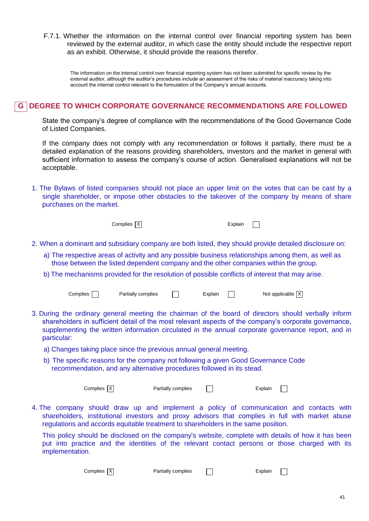F.7.1. Whether the information on the internal control over financial reporting system has been reviewed by the external auditor, in which case the entity should include the respective report as an exhibit. Otherwise, it should provide the reasons therefor.

The information on the internal control over financial reporting system has not been submitted for specific review by the external auditor, although the auditor's procedures include an assessment of the risks of material inaccuracy taking into account the internal control relevant to the formulation of the Company's annual accounts.

# **DEGREE TO WHICH CORPORATE GOVERNANCE RECOMMENDATIONS ARE FOLLOWED G**

State the company's degree of compliance with the recommendations of the Good Governance Code of Listed Companies.

If the company does not comply with any recommendation or follows it partially, there must be a detailed explanation of the reasons providing shareholders, investors and the market in general with sufficient information to assess the company's course of action. Generalised explanations will not be acceptable.

1. The Bylaws of listed companies should not place an upper limit on the votes that can be cast by a single shareholder, or impose other obstacles to the takeover of the company by means of share purchases on the market.

Complies X Explain

 $\Box$ 

- 2. When a dominant and subsidiary company are both listed, they should provide detailed disclosure on:
	- a) The respective areas of activity and any possible business relationships among them, as well as those between the listed dependent company and the other companies within the group.
	- b) The mechanisms provided for the resolution of possible conflicts of interest that may arise.

| Partially complies<br>Complies |  | Explair | Not applicable $ X $ |
|--------------------------------|--|---------|----------------------|
|--------------------------------|--|---------|----------------------|

- 3. During the ordinary general meeting the chairman of the board of directors should verbally inform shareholders in sufficient detail of the most relevant aspects of the company's corporate governance, supplementing the written information circulated in the annual corporate governance report, and in particular:
	- a) Changes taking place since the previous annual general meeting.
	- b) The specific reasons for the company not following a given Good Governance Code recommendation, and any alternative procedures followed in its stead.

Complies X Partially complies T  $\Box$ 

4. The company should draw up and implement a policy of communication and contacts with shareholders, institutional investors and proxy advisors that complies in full with market abuse regulations and accords equitable treatment to shareholders in the same position.

This policy should be disclosed on the company's website, complete with details of how it has been put into practice and the identities of the relevant contact persons or those charged with its implementation.

Complies X Partially complies T

 $\Box$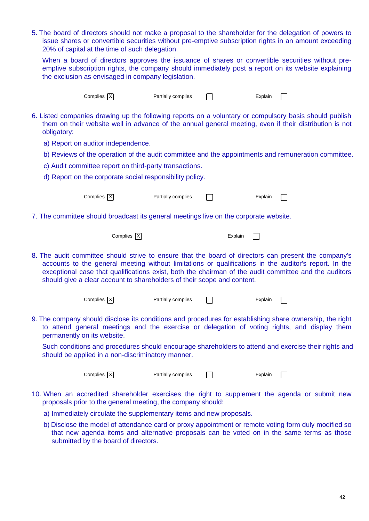5. The board of directors should not make a proposal to the shareholder for the delegation of powers to issue shares or convertible securities without pre-emptive subscription rights in an amount exceeding 20% of capital at the time of such delegation.

When a board of directors approves the issuance of shares or convertible securities without preemptive subscription rights, the company should immediately post a report on its website explaining the exclusion as envisaged in company legislation.

|             | Complies $ \overline{X} $                                                             | Partially complies |         | Explain                                                                                                                                                                                                                                                                                                                |
|-------------|---------------------------------------------------------------------------------------|--------------------|---------|------------------------------------------------------------------------------------------------------------------------------------------------------------------------------------------------------------------------------------------------------------------------------------------------------------------------|
| obligatory: |                                                                                       |                    |         | 6. Listed companies drawing up the following reports on a voluntary or compulsory basis should publish<br>them on their website well in advance of the annual general meeting, even if their distribution is not                                                                                                       |
|             | a) Report on auditor independence.                                                    |                    |         |                                                                                                                                                                                                                                                                                                                        |
|             |                                                                                       |                    |         | b) Reviews of the operation of the audit committee and the appointments and remuneration committee.                                                                                                                                                                                                                    |
|             | c) Audit committee report on third-party transactions.                                |                    |         |                                                                                                                                                                                                                                                                                                                        |
|             | d) Report on the corporate social responsibility policy.                              |                    |         |                                                                                                                                                                                                                                                                                                                        |
|             | Complies $ \overline{X} $                                                             | Partially complies |         | Explain                                                                                                                                                                                                                                                                                                                |
|             | 7. The committee should broadcast its general meetings live on the corporate website. |                    |         |                                                                                                                                                                                                                                                                                                                        |
|             | Complies $\overline{X}$                                                               |                    | Explain |                                                                                                                                                                                                                                                                                                                        |
|             | should give a clear account to shareholders of their scope and content.               |                    |         | 8. The audit committee should strive to ensure that the board of directors can present the company's<br>accounts to the general meeting without limitations or qualifications in the auditor's report. In the<br>exceptional case that qualifications exist, both the chairman of the audit committee and the auditors |
|             | Complies $ \overline{X} $                                                             | Partially complies |         | Explain                                                                                                                                                                                                                                                                                                                |
|             | permanently on its website.                                                           |                    |         | 9. The company should disclose its conditions and procedures for establishing share ownership, the right<br>to attend general meetings and the exercise or delegation of voting rights, and display them                                                                                                               |
|             | should be applied in a non-discriminatory manner.                                     |                    |         | Such conditions and procedures should encourage shareholders to attend and exercise their rights and                                                                                                                                                                                                                   |
|             | Complies $ \overline{X} $                                                             | Partially complies |         | Explain                                                                                                                                                                                                                                                                                                                |
|             | proposals prior to the general meeting, the company should:                           |                    |         | 10. When an accredited shareholder exercises the right to supplement the agenda or submit new                                                                                                                                                                                                                          |
|             | a) Immediately circulate the supplementary items and new proposals.                   |                    |         |                                                                                                                                                                                                                                                                                                                        |
|             |                                                                                       |                    |         | b) Disclose the model of attendance card or proxy appointment or remote voting form duly modified so                                                                                                                                                                                                                   |

that new agenda items and alternative proposals can be voted on in the same terms as those submitted by the board of directors.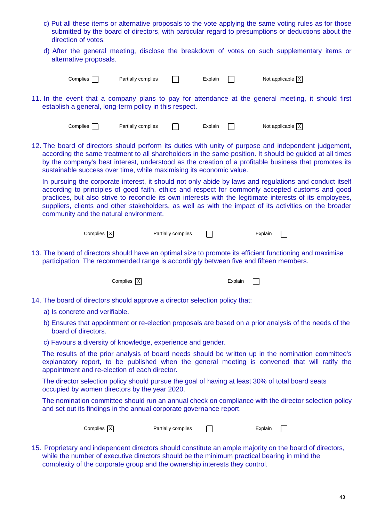- c) Put all these items or alternative proposals to the vote applying the same voting rules as for those submitted by the board of directors, with particular regard to presumptions or deductions about the direction of votes.
- d) After the general meeting, disclose the breakdown of votes on such supplementary items or alternative proposals.

| ∴omplies |  | Partially complies | Explair | Not applicable   X |  |
|----------|--|--------------------|---------|--------------------|--|
|          |  |                    |         |                    |  |

11. In the event that a company plans to pay for attendance at the general meeting, it should first establish a general, long-term policy in this respect.

Complies **Partially complies**  $\Box$  Explain  $\Box$  Not applicable  $\Box$ 

12. The board of directors should perform its duties with unity of purpose and independent judgement, according the same treatment to all shareholders in the same position. It should be guided at all times by the company's best interest, understood as the creation of a profitable business that promotes its sustainable success over time, while maximising its economic value.

In pursuing the corporate interest, it should not only abide by laws and regulations and conduct itself according to principles of good faith, ethics and respect for commonly accepted customs and good practices, but also strive to reconcile its own interests with the legitimate interests of its employees, suppliers, clients and other stakeholders, as well as with the impact of its activities on the broader community and the natural environment.

| Complies   X  <br>Partially complies | Explain |  |
|--------------------------------------|---------|--|
|--------------------------------------|---------|--|

13. The board of directors should have an optimal size to promote its efficient functioning and maximise participation. The recommended range is accordingly between five and fifteen members.

| Complies $ \overline{X} $ |   | Explain $\Box$ |  |
|---------------------------|---|----------------|--|
| .                         | . |                |  |

- 14. The board of directors should approve a director selection policy that:
	- a) Is concrete and verifiable.
	- b) Ensures that appointment or re-election proposals are based on a prior analysis of the needs of the board of directors.
	- c) Favours a diversity of knowledge, experience and gender.

The results of the prior analysis of board needs should be written up in the nomination committee's explanatory report, to be published when the general meeting is convened that will ratify the appointment and re-election of each director.

The director selection policy should pursue the goal of having at least 30% of total board seats occupied by women directors by the year 2020.

The nomination committee should run an annual check on compliance with the director selection policy and set out its findings in the annual corporate governance report.

| Complies $ \overline{X} $<br>Partially complies | Explain |
|-------------------------------------------------|---------|
|-------------------------------------------------|---------|

15. Proprietary and independent directors should constitute an ample majority on the board of directors, while the number of executive directors should be the minimum practical bearing in mind the complexity of the corporate group and the ownership interests they control.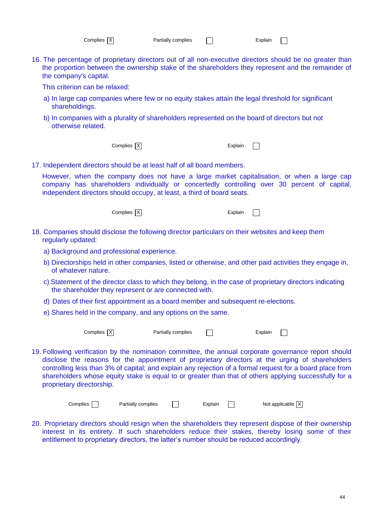| Complies $ \overline{X} $ |  |  |
|---------------------------|--|--|
|---------------------------|--|--|

 $\overline{\phantom{a}}$ 

16. The percentage of proprietary directors out of all non-executive directors should be no greater than the proportion between the ownership stake of the shareholders they represent and the remainder of the company's capital.

This criterion can be relaxed:

- a) In large cap companies where few or no equity stakes attain the legal threshold for significant shareholdings.
- b) In companies with a plurality of shareholders represented on the board of directors but not otherwise related.

Complies X Explain

 $\Box$ 

17. Independent directors should be at least half of all board members.

However, when the company does not have a large market capitalisation, or when a large cap company has shareholders individually or concertedly controlling over 30 percent of capital, independent directors should occupy, at least, a third of board seats.

Complies X Explain

 $\Box$ 

- 18. Companies should disclose the following director particulars on their websites and keep them regularly updated:
	- a) Background and professional experience.
	- b) Directorships held in other companies, listed or otherwise, and other paid activities they engage in, of whatever nature.
	- c) Statement of the director class to which they belong, in the case of proprietary directors indicating the shareholder they represent or are connected with.
	- d) Dates of their first appointment as a board member and subsequent re-elections.
	- e) Shares held in the company, and any options on the same.

 $Complex \overline{X}$  Partially complies  $\Box$  Explain  $\Box$ 

19. Following verification by the nomination committee, the annual corporate governance report should disclose the reasons for the appointment of proprietary directors at the urging of shareholders controlling less than 3% of capital; and explain any rejection of a formal request for a board place from shareholders whose equity stake is equal to or greater than that of others applying successfully for a proprietary directorship.

| Complies | Partially complies |  | Explain | Not applicable $\overline{X}$ |
|----------|--------------------|--|---------|-------------------------------|
|----------|--------------------|--|---------|-------------------------------|

20. Proprietary directors should resign when the shareholders they represent dispose of their ownership interest in its entirety. If such shareholders reduce their stakes, thereby losing some of their entitlement to proprietary directors, the latter's number should be reduced accordingly.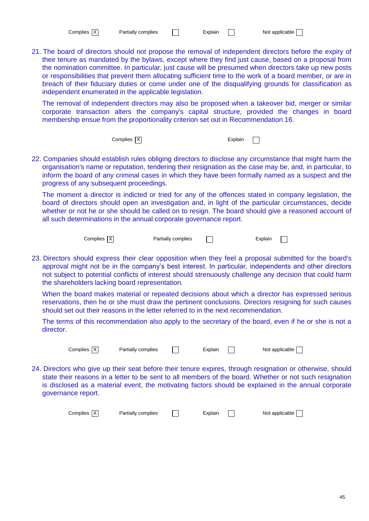| Complies   X |  | Partially complies |  | Explain | Not applicable |
|--------------|--|--------------------|--|---------|----------------|
|--------------|--|--------------------|--|---------|----------------|

21. The board of directors should not propose the removal of independent directors before the expiry of their tenure as mandated by the bylaws, except where they find just cause, based on a proposal from the nomination committee. In particular, just cause will be presumed when directors take up new posts or responsibilities that prevent them allocating sufficient time to the work of a board member, or are in breach of their fiduciary duties or come under one of the disqualifying grounds for classification as independent enumerated in the applicable legislation.

The removal of independent directors may also be proposed when a takeover bid, merger or similar corporate transaction alters the company's capital structure, provided the changes in board membership ensue from the proportionality criterion set out in Recommendation 16.

 $\Box$ 

Complies  $\overline{X}$  Explain

22. Companies should establish rules obliging directors to disclose any circumstance that might harm the organisation's name or reputation, tendering their resignation as the case may be, and, in particular, to inform the board of any criminal cases in which they have been formally named as a suspect and the progress of any subsequent proceedings.

The moment a director is indicted or tried for any of the offences stated in company legislation, the board of directors should open an investigation and, in light of the particular circumstances, decide whether or not he or she should be called on to resign. The board should give a reasoned account of all such determinations in the annual corporate governance report.

| Complies $ \overline{X} $ | Partially complies | Explain |
|---------------------------|--------------------|---------|
|                           |                    |         |

23. Directors should express their clear opposition when they feel a proposal submitted for the board's approval might not be in the company's best interest. In particular, independents and other directors not subject to potential conflicts of interest should strenuously challenge any decision that could harm the shareholders lacking board representation.

When the board makes material or repeated decisions about which a director has expressed serious reservations, then he or she must draw the pertinent conclusions. Directors resigning for such causes should set out their reasons in the letter referred to in the next recommendation.

The terms of this recommendation also apply to the secretary of the board, even if he or she is not a director.

Complies  $\boxed{\times}$  Partially complies  $\boxed{\phantom{\times}}$  Explain  $\boxed{\phantom{\times}}$  Not applicable  $\boxed{\phantom{\times}}$ 

24. Directors who give up their seat before their tenure expires, through resignation or otherwise, should state their reasons in a letter to be sent to all members of the board. Whether or not such resignation is disclosed as a material event, the motivating factors should be explained in the annual corporate governance report.

 $Complex \times \rightarrow$  Partially complies  $\Box$  Explain  $\Box$  Not applicable  $\Box$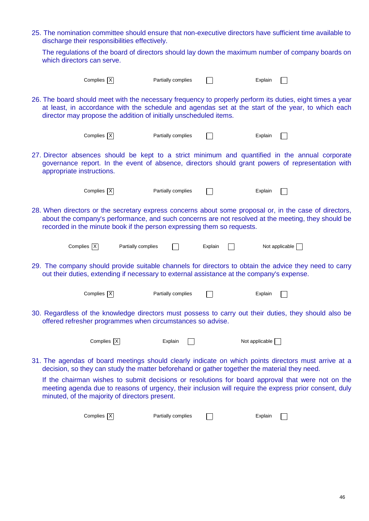25. The nomination committee should ensure that non-executive directors have sufficient time available to discharge their responsibilities effectively.

The regulations of the board of directors should lay down the maximum number of company boards on which directors can serve.

|                           | Complies $X$                                                                              | Partially complies |         | Explain                                                                                                                                                                                                        |  |
|---------------------------|-------------------------------------------------------------------------------------------|--------------------|---------|----------------------------------------------------------------------------------------------------------------------------------------------------------------------------------------------------------------|--|
|                           | director may propose the addition of initially unscheduled items.                         |                    |         | 26. The board should meet with the necessary frequency to properly perform its duties, eight times a year<br>at least, in accordance with the schedule and agendas set at the start of the year, to which each |  |
|                           | Complies $X$                                                                              | Partially complies |         | Explain                                                                                                                                                                                                        |  |
| appropriate instructions. |                                                                                           |                    |         | 27. Director absences should be kept to a strict minimum and quantified in the annual corporate<br>governance report. In the event of absence, directors should grant powers of representation with            |  |
|                           | Complies $X$                                                                              | Partially complies |         | Explain                                                                                                                                                                                                        |  |
|                           | recorded in the minute book if the person expressing them so requests.                    |                    |         | 28. When directors or the secretary express concerns about some proposal or, in the case of directors,<br>about the company's performance, and such concerns are not resolved at the meeting, they should be   |  |
|                           | Complies $X$<br>Partially complies                                                        |                    | Explain | Not applicable                                                                                                                                                                                                 |  |
|                           | out their duties, extending if necessary to external assistance at the company's expense. |                    |         | 29. The company should provide suitable channels for directors to obtain the advice they need to carry                                                                                                         |  |
|                           | Complies $ \overline{X} $                                                                 | Partially complies |         | Explain                                                                                                                                                                                                        |  |
|                           | offered refresher programmes when circumstances so advise.                                |                    |         | 30. Regardless of the knowledge directors must possess to carry out their duties, they should also be                                                                                                          |  |
|                           | Complies   X                                                                              | Explain            |         | Not applicable                                                                                                                                                                                                 |  |
|                           |                                                                                           |                    |         | 31. The agendas of board meetings should clearly indicate on which points directors must arrive at a<br>decision, so they can study the matter beforehand or gather together the material they need.           |  |
|                           | minuted, of the majority of directors present.                                            |                    |         | If the chairman wishes to submit decisions or resolutions for board approval that were not on the<br>meeting agenda due to reasons of urgency, their inclusion will require the express prior consent, duly    |  |
|                           | Complies $\overline{X}$                                                                   | Partially complies |         | Explain                                                                                                                                                                                                        |  |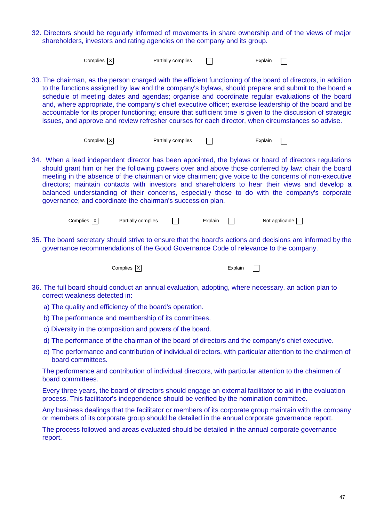32. Directors should be regularly informed of movements in share ownership and of the views of major shareholders, investors and rating agencies on the company and its group.

| Complies $ \overline{X} $                                                                                                                                                                                                                                                                                                                                                                                                                                                                                                                                                                                                                             |                           | Partially complies |         | Explain |                |  |
|-------------------------------------------------------------------------------------------------------------------------------------------------------------------------------------------------------------------------------------------------------------------------------------------------------------------------------------------------------------------------------------------------------------------------------------------------------------------------------------------------------------------------------------------------------------------------------------------------------------------------------------------------------|---------------------------|--------------------|---------|---------|----------------|--|
| 33. The chairman, as the person charged with the efficient functioning of the board of directors, in addition<br>to the functions assigned by law and the company's bylaws, should prepare and submit to the board a<br>schedule of meeting dates and agendas; organise and coordinate regular evaluations of the board<br>and, where appropriate, the company's chief executive officer; exercise leadership of the board and be<br>accountable for its proper functioning; ensure that sufficient time is given to the discussion of strategic<br>issues, and approve and review refresher courses for each director, when circumstances so advise. |                           |                    |         |         |                |  |
| Complies $X$                                                                                                                                                                                                                                                                                                                                                                                                                                                                                                                                                                                                                                          |                           | Partially complies |         | Explain |                |  |
| 34. When a lead independent director has been appointed, the bylaws or board of directors regulations<br>should grant him or her the following powers over and above those conferred by law: chair the board<br>meeting in the absence of the chairman or vice chairmen; give voice to the concerns of non-executive<br>directors; maintain contacts with investors and shareholders to hear their views and develop a<br>balanced understanding of their concerns, especially those to do with the company's corporate<br>governance; and coordinate the chairman's succession plan.                                                                 |                           |                    |         |         |                |  |
| Complies $ \overline{X} $                                                                                                                                                                                                                                                                                                                                                                                                                                                                                                                                                                                                                             | Partially complies        |                    | Explain |         | Not applicable |  |
| 35. The board secretary should strive to ensure that the board's actions and decisions are informed by the<br>governance recommendations of the Good Governance Code of relevance to the company.                                                                                                                                                                                                                                                                                                                                                                                                                                                     |                           |                    |         |         |                |  |
|                                                                                                                                                                                                                                                                                                                                                                                                                                                                                                                                                                                                                                                       |                           |                    |         |         |                |  |
|                                                                                                                                                                                                                                                                                                                                                                                                                                                                                                                                                                                                                                                       | Complies $ \overline{X} $ |                    |         | Explain |                |  |
| 36. The full board should conduct an annual evaluation, adopting, where necessary, an action plan to<br>correct weakness detected in:                                                                                                                                                                                                                                                                                                                                                                                                                                                                                                                 |                           |                    |         |         |                |  |
| a) The quality and efficiency of the board's operation.                                                                                                                                                                                                                                                                                                                                                                                                                                                                                                                                                                                               |                           |                    |         |         |                |  |
| b) The performance and membership of its committees.                                                                                                                                                                                                                                                                                                                                                                                                                                                                                                                                                                                                  |                           |                    |         |         |                |  |
| c) Diversity in the composition and powers of the board.                                                                                                                                                                                                                                                                                                                                                                                                                                                                                                                                                                                              |                           |                    |         |         |                |  |
| d) The performance of the chairman of the board of directors and the company's chief executive.                                                                                                                                                                                                                                                                                                                                                                                                                                                                                                                                                       |                           |                    |         |         |                |  |
| e) The performance and contribution of individual directors, with particular attention to the chairmen of<br>board committees.                                                                                                                                                                                                                                                                                                                                                                                                                                                                                                                        |                           |                    |         |         |                |  |
| The performance and contribution of individual directors, with particular attention to the chairmen of<br>board committees.                                                                                                                                                                                                                                                                                                                                                                                                                                                                                                                           |                           |                    |         |         |                |  |
| Every three years, the board of directors should engage an external facilitator to aid in the evaluation<br>process. This facilitator's independence should be verified by the nomination committee.                                                                                                                                                                                                                                                                                                                                                                                                                                                  |                           |                    |         |         |                |  |
| Any business dealings that the facilitator or members of its corporate group maintain with the company<br>or members of its corporate group should be detailed in the annual corporate governance report.                                                                                                                                                                                                                                                                                                                                                                                                                                             |                           |                    |         |         |                |  |
| The process followed and areas evaluated should be detailed in the annual corporate governance<br>report.                                                                                                                                                                                                                                                                                                                                                                                                                                                                                                                                             |                           |                    |         |         |                |  |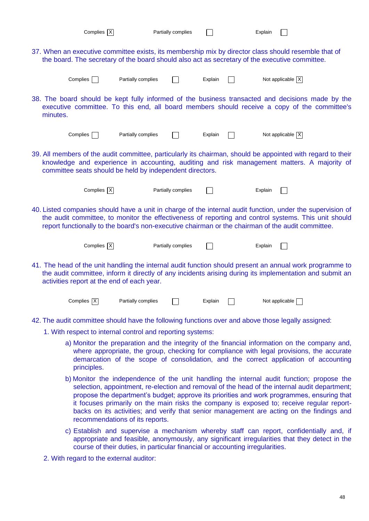|          | Complies $ \overline{X} $                                                                                                                                                                                                                                          |                                                            | Partially complies |         |  | Explain |                                                                                                                                                                                                                                                                                                                         |  |  |  |
|----------|--------------------------------------------------------------------------------------------------------------------------------------------------------------------------------------------------------------------------------------------------------------------|------------------------------------------------------------|--------------------|---------|--|---------|-------------------------------------------------------------------------------------------------------------------------------------------------------------------------------------------------------------------------------------------------------------------------------------------------------------------------|--|--|--|
|          | 37. When an executive committee exists, its membership mix by director class should resemble that of<br>the board. The secretary of the board should also act as secretary of the executive committee.                                                             |                                                            |                    |         |  |         |                                                                                                                                                                                                                                                                                                                         |  |  |  |
|          | Complies                                                                                                                                                                                                                                                           | Partially complies                                         |                    | Explain |  |         | Not applicable $ X $                                                                                                                                                                                                                                                                                                    |  |  |  |
| minutes. |                                                                                                                                                                                                                                                                    |                                                            |                    |         |  |         | 38. The board should be kept fully informed of the business transacted and decisions made by the<br>executive committee. To this end, all board members should receive a copy of the committee's                                                                                                                        |  |  |  |
|          | Complies                                                                                                                                                                                                                                                           | Partially complies                                         |                    | Explain |  |         | Not applicable $\boxed{X}$                                                                                                                                                                                                                                                                                              |  |  |  |
|          |                                                                                                                                                                                                                                                                    | committee seats should be held by independent directors.   |                    |         |  |         | 39. All members of the audit committee, particularly its chairman, should be appointed with regard to their<br>knowledge and experience in accounting, auditing and risk management matters. A majority of                                                                                                              |  |  |  |
|          | Complies $ \mathsf{X} $                                                                                                                                                                                                                                            |                                                            | Partially complies |         |  | Explain |                                                                                                                                                                                                                                                                                                                         |  |  |  |
|          |                                                                                                                                                                                                                                                                    |                                                            |                    |         |  |         | 40. Listed companies should have a unit in charge of the internal audit function, under the supervision of<br>the audit committee, to monitor the effectiveness of reporting and control systems. This unit should<br>report functionally to the board's non-executive chairman or the chairman of the audit committee. |  |  |  |
|          | Complies $X$                                                                                                                                                                                                                                                       |                                                            | Partially complies |         |  | Explain |                                                                                                                                                                                                                                                                                                                         |  |  |  |
|          | 41. The head of the unit handling the internal audit function should present an annual work programme to<br>the audit committee, inform it directly of any incidents arising during its implementation and submit an<br>activities report at the end of each year. |                                                            |                    |         |  |         |                                                                                                                                                                                                                                                                                                                         |  |  |  |
|          | Complies   X                                                                                                                                                                                                                                                       | Partially complies                                         |                    | Explain |  |         | Not applicable                                                                                                                                                                                                                                                                                                          |  |  |  |
|          |                                                                                                                                                                                                                                                                    |                                                            |                    |         |  |         | 42. The audit committee should have the following functions over and above those legally assigned:                                                                                                                                                                                                                      |  |  |  |
|          |                                                                                                                                                                                                                                                                    | 1. With respect to internal control and reporting systems: |                    |         |  |         |                                                                                                                                                                                                                                                                                                                         |  |  |  |
|          | principles.                                                                                                                                                                                                                                                        |                                                            |                    |         |  |         | a) Monitor the preparation and the integrity of the financial information on the company and,<br>where appropriate, the group, checking for compliance with legal provisions, the accurate<br>demarcation of the scope of consolidation, and the correct application of accounting                                      |  |  |  |

- b) Monitor the independence of the unit handling the internal audit function; propose the selection, appointment, re-election and removal of the head of the internal audit department; propose the department's budget; approve its priorities and work programmes, ensuring that it focuses primarily on the main risks the company is exposed to; receive regular reportbacks on its activities; and verify that senior management are acting on the findings and recommendations of its reports.
- c) Establish and supervise a mechanism whereby staff can report, confidentially and, if appropriate and feasible, anonymously, any significant irregularities that they detect in the course of their duties, in particular financial or accounting irregularities.
- 2. With regard to the external auditor: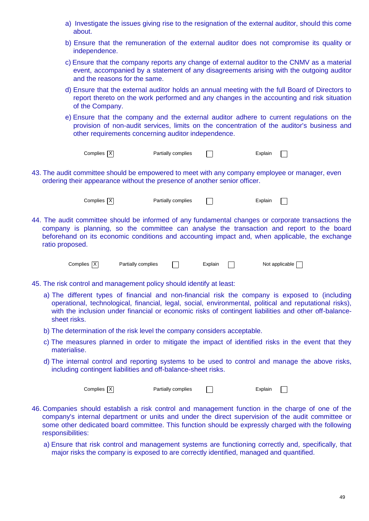| a) Investigate the issues giving rise to the resignation of the external auditor, should this come |  |  |  |  |  |  |
|----------------------------------------------------------------------------------------------------|--|--|--|--|--|--|
| about.                                                                                             |  |  |  |  |  |  |

- b) Ensure that the remuneration of the external auditor does not compromise its quality or independence.
- c) Ensure that the company reports any change of external auditor to the CNMV as a material event, accompanied by a statement of any disagreements arising with the outgoing auditor and the reasons for the same.
- d) Ensure that the external auditor holds an annual meeting with the full Board of Directors to report thereto on the work performed and any changes in the accounting and risk situation of the Company.
- e) Ensure that the company and the external auditor adhere to current regulations on the provision of non-audit services, limits on the concentration of the auditor's business and other requirements concerning auditor independence.

| Complies $ X $ | Partially complies | Explain |
|----------------|--------------------|---------|

43. The audit committee should be empowered to meet with any company employee or manager, even ordering their appearance without the presence of another senior officer.



Complies X Partially complies T

 $\Box$ 

44. The audit committee should be informed of any fundamental changes or corporate transactions the company is planning, so the committee can analyse the transaction and report to the board beforehand on its economic conditions and accounting impact and, when applicable, the exchange ratio proposed.

Complies  $\boxed{\times}$  Partially complies  $\boxed{\phantom{\times}}$  Explain  $\boxed{\phantom{\times}}$  Not applicable  $\boxed{\phantom{\times}}$ 

- 45. The risk control and management policy should identify at least:
	- a) The different types of financial and non-financial risk the company is exposed to (including operational, technological, financial, legal, social, environmental, political and reputational risks), with the inclusion under financial or economic risks of contingent liabilities and other off-balancesheet risks.
	- b) The determination of the risk level the company considers acceptable.
	- c) The measures planned in order to mitigate the impact of identified risks in the event that they materialise.
	- d) The internal control and reporting systems to be used to control and manage the above risks, including contingent liabilities and off-balance-sheet risks.

Complies X Partially complies T Explain  $\Box$ 

- 46. Companies should establish a risk control and management function in the charge of one of the company's internal department or units and under the direct supervision of the audit committee or some other dedicated board committee. This function should be expressly charged with the following responsibilities:
	- a) Ensure that risk control and management systems are functioning correctly and, specifically, that major risks the company is exposed to are correctly identified, managed and quantified.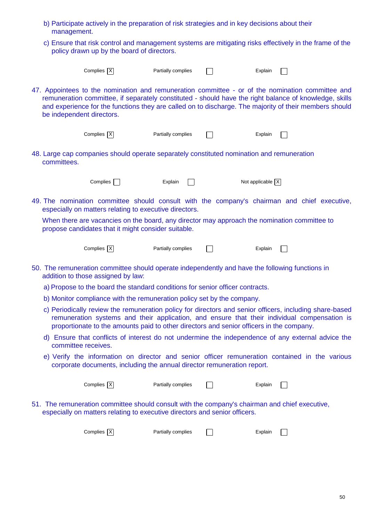- b) Participate actively in the preparation of risk strategies and in key decisions about their management.
- c) Ensure that risk control and management systems are mitigating risks effectively in the frame of the policy drawn up by the board of directors.

|                           | Complies $X$                                                                              | Partially complies | Explain                                                                                                                                                                                                                                                                                                              |
|---------------------------|-------------------------------------------------------------------------------------------|--------------------|----------------------------------------------------------------------------------------------------------------------------------------------------------------------------------------------------------------------------------------------------------------------------------------------------------------------|
| be independent directors. |                                                                                           |                    | 47. Appointees to the nomination and remuneration committee - or of the nomination committee and<br>remuneration committee, if separately constituted - should have the right balance of knowledge, skills<br>and experience for the functions they are called on to discharge. The majority of their members should |
|                           | Complies $X$                                                                              | Partially complies | Explain                                                                                                                                                                                                                                                                                                              |
| committees.               | 48. Large cap companies should operate separately constituted nomination and remuneration |                    |                                                                                                                                                                                                                                                                                                                      |
|                           | Complies                                                                                  | Explain            | Not applicable $X$                                                                                                                                                                                                                                                                                                   |
|                           | especially on matters relating to executive directors.                                    |                    | 49. The nomination committee should consult with the company's chairman and chief executive,                                                                                                                                                                                                                         |
|                           | propose candidates that it might consider suitable.                                       |                    | When there are vacancies on the board, any director may approach the nomination committee to                                                                                                                                                                                                                         |
|                           | Complies $ \overline{X} $                                                                 | Partially complies | Explain                                                                                                                                                                                                                                                                                                              |
|                           | addition to those assigned by law:                                                        |                    | 50. The remuneration committee should operate independently and have the following functions in                                                                                                                                                                                                                      |
|                           | a) Propose to the board the standard conditions for senior officer contracts.             |                    |                                                                                                                                                                                                                                                                                                                      |
|                           | b) Monitor compliance with the remuneration policy set by the company.                    |                    |                                                                                                                                                                                                                                                                                                                      |
|                           | proportionate to the amounts paid to other directors and senior officers in the company.  |                    | c) Periodically review the remuneration policy for directors and senior officers, including share-based<br>remuneration systems and their application, and ensure that their individual compensation is                                                                                                              |
| committee receives.       |                                                                                           |                    | d) Ensure that conflicts of interest do not undermine the independence of any external advice the                                                                                                                                                                                                                    |
|                           | corporate documents, including the annual director remuneration report.                   |                    | e) Verify the information on director and senior officer remuneration contained in the various                                                                                                                                                                                                                       |
|                           | Complies $X$                                                                              | Partially complies | Explain                                                                                                                                                                                                                                                                                                              |
|                           | especially on matters relating to executive directors and senior officers.                |                    | 51. The remuneration committee should consult with the company's chairman and chief executive,                                                                                                                                                                                                                       |
|                           | Complies $X$                                                                              | Partially complies | Explain                                                                                                                                                                                                                                                                                                              |
|                           |                                                                                           |                    |                                                                                                                                                                                                                                                                                                                      |
|                           |                                                                                           |                    |                                                                                                                                                                                                                                                                                                                      |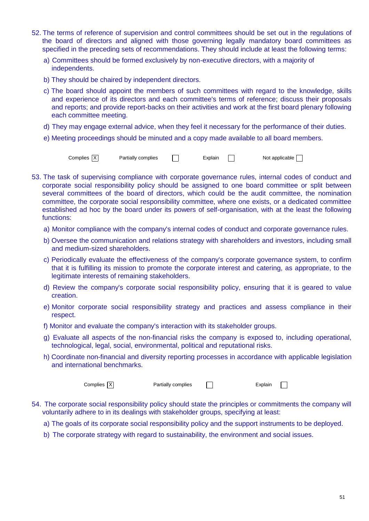- 52. The terms of reference of supervision and control committees should be set out in the regulations of the board of directors and aligned with those governing legally mandatory board committees as specified in the preceding sets of recommendations. They should include at least the following terms:
	- a) Committees should be formed exclusively by non-executive directors, with a majority of independents.
	- b) They should be chaired by independent directors.
	- c) The board should appoint the members of such committees with regard to the knowledge, skills and experience of its directors and each committee's terms of reference; discuss their proposals and reports; and provide report-backs on their activities and work at the first board plenary following each committee meeting.
	- d) They may engage external advice, when they feel it necessary for the performance of their duties.
	- e) Meeting proceedings should be minuted and a copy made available to all board members.

Complies  $|\overline{X}|$  Partially complies  $\Box$  Explain  $\Box$  Not applicable  $\Box$ 

- 53. The task of supervising compliance with corporate governance rules, internal codes of conduct and corporate social responsibility policy should be assigned to one board committee or split between several committees of the board of directors, which could be the audit committee, the nomination committee, the corporate social responsibility committee, where one exists, or a dedicated committee established ad hoc by the board under its powers of self-organisation, with at the least the following functions:
	- a) Monitor compliance with the company's internal codes of conduct and corporate governance rules.
	- b) Oversee the communication and relations strategy with shareholders and investors, including small and medium-sized shareholders.
	- c) Periodically evaluate the effectiveness of the company's corporate governance system, to confirm that it is fulfilling its mission to promote the corporate interest and catering, as appropriate, to the legitimate interests of remaining stakeholders.
	- d) Review the company's corporate social responsibility policy, ensuring that it is geared to value creation.
	- e) Monitor corporate social responsibility strategy and practices and assess compliance in their respect.
	- f) Monitor and evaluate the company's interaction with its stakeholder groups.
	- g) Evaluate all aspects of the non-financial risks the company is exposed to, including operational, technological, legal, social, environmental, political and reputational risks.
	- h) Coordinate non-financial and diversity reporting processes in accordance with applicable legislation and international benchmarks.

Complies X Partially complies T Explain  $\Box$ 

- 54. The corporate social responsibility policy should state the principles or commitments the company will voluntarily adhere to in its dealings with stakeholder groups, specifying at least:
	- a) The goals of its corporate social responsibility policy and the support instruments to be deployed.
	- b) The corporate strategy with regard to sustainability, the environment and social issues.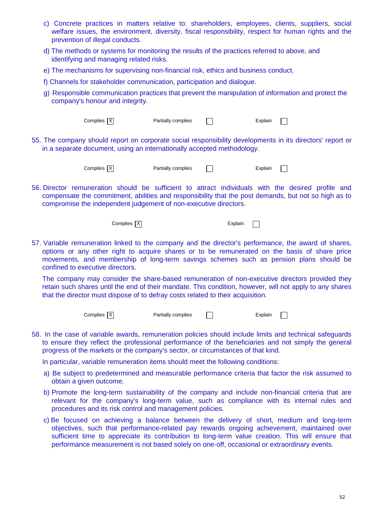- c) Concrete practices in matters relative to: shareholders, employees, clients, suppliers, social welfare issues, the environment, diversity, fiscal responsibility, respect for human rights and the prevention of illegal conducts.
- d) The methods or systems for monitoring the results of the practices referred to above, and identifying and managing related risks.
- e) The mechanisms for supervising non-financial risk, ethics and business conduct.
- f) Channels for stakeholder communication, participation and dialogue.
- g) Responsible communication practices that prevent the manipulation of information and protect the company's honour and integrity.

| Complies $ X $                                                         | Partially complies | Explain                                                                                                   |
|------------------------------------------------------------------------|--------------------|-----------------------------------------------------------------------------------------------------------|
| in a separate document, using an internationally accepted methodology. |                    | 55. The company should report on corporate social responsibility developments in its directors' report or |
| Complies   X                                                           | Partially complies | Explain                                                                                                   |

56. Director remuneration should be sufficient to attract individuals with the desired profile and compensate the commitment, abilities and responsibility that the post demands, but not so high as to compromise the independent judgement of non-executive directors.

Complies X Explain

 $\Box$ 

57. Variable remuneration linked to the company and the director's performance, the award of shares, options or any other right to acquire shares or to be remunerated on the basis of share price movements, and membership of long-term savings schemes such as pension plans should be confined to executive directors.

The company may consider the share-based remuneration of non-executive directors provided they retain such shares until the end of their mandate. This condition, however, will not apply to any shares that the director must dispose of to defray costs related to their acquisition.

> $Complex \overline{X}$  Partially complies  $\boxed{X}$  Explain  $\Box$

58. In the case of variable awards, remuneration policies should include limits and technical safeguards to ensure they reflect the professional performance of the beneficiaries and not simply the general progress of the markets or the company's sector, or circumstances of that kind.

In particular, variable remuneration items should meet the following conditions:

- a) Be subject to predetermined and measurable performance criteria that factor the risk assumed to obtain a given outcome.
- b) Promote the long-term sustainability of the company and include non-financial criteria that are relevant for the company's long-term value, such as compliance with its internal rules and procedures and its risk control and management policies.
- c) Be focused on achieving a balance between the delivery of short, medium and long-term objectives, such that performance-related pay rewards ongoing achievement, maintained over sufficient time to appreciate its contribution to long-term value creation. This will ensure that performance measurement is not based solely on one-off, occasional or extraordinary events.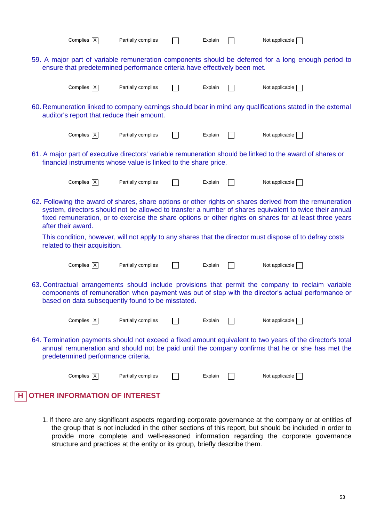| Complies $X$                                                                                                                                                                                                                                                 | Partially complies                                                        |  | Explain |  | Not applicable [                                                                                                                                                                                                                                                                                                               |  |  |  |
|--------------------------------------------------------------------------------------------------------------------------------------------------------------------------------------------------------------------------------------------------------------|---------------------------------------------------------------------------|--|---------|--|--------------------------------------------------------------------------------------------------------------------------------------------------------------------------------------------------------------------------------------------------------------------------------------------------------------------------------|--|--|--|
|                                                                                                                                                                                                                                                              | ensure that predetermined performance criteria have effectively been met. |  |         |  | 59. A major part of variable remuneration components should be deferred for a long enough period to                                                                                                                                                                                                                            |  |  |  |
| Complies $X$                                                                                                                                                                                                                                                 | Partially complies                                                        |  | Explain |  | Not applicable $\sqrt{\phantom{a}}$                                                                                                                                                                                                                                                                                            |  |  |  |
| 60. Remuneration linked to company earnings should bear in mind any qualifications stated in the external<br>auditor's report that reduce their amount.                                                                                                      |                                                                           |  |         |  |                                                                                                                                                                                                                                                                                                                                |  |  |  |
| Complies X                                                                                                                                                                                                                                                   | Partially complies                                                        |  | Explain |  | Not applicable                                                                                                                                                                                                                                                                                                                 |  |  |  |
|                                                                                                                                                                                                                                                              | financial instruments whose value is linked to the share price.           |  |         |  | 61. A major part of executive directors' variable remuneration should be linked to the award of shares or                                                                                                                                                                                                                      |  |  |  |
| Complies $X$                                                                                                                                                                                                                                                 | Partially complies                                                        |  | Explain |  | Not applicable                                                                                                                                                                                                                                                                                                                 |  |  |  |
| after their award.                                                                                                                                                                                                                                           |                                                                           |  |         |  | 62. Following the award of shares, share options or other rights on shares derived from the remuneration<br>system, directors should not be allowed to transfer a number of shares equivalent to twice their annual<br>fixed remuneration, or to exercise the share options or other rights on shares for at least three years |  |  |  |
| related to their acquisition.                                                                                                                                                                                                                                |                                                                           |  |         |  | This condition, however, will not apply to any shares that the director must dispose of to defray costs                                                                                                                                                                                                                        |  |  |  |
| Complies $X$                                                                                                                                                                                                                                                 | Partially complies                                                        |  | Explain |  | Not applicable $\lceil$                                                                                                                                                                                                                                                                                                        |  |  |  |
| 63. Contractual arrangements should include provisions that permit the company to reclaim variable<br>components of remuneration when payment was out of step with the director's actual performance or<br>based on data subsequently found to be misstated. |                                                                           |  |         |  |                                                                                                                                                                                                                                                                                                                                |  |  |  |
| Complies $X$                                                                                                                                                                                                                                                 | Partially complies                                                        |  | Explain |  | Not applicable [                                                                                                                                                                                                                                                                                                               |  |  |  |
| predetermined performance criteria.                                                                                                                                                                                                                          |                                                                           |  |         |  | 64. Termination payments should not exceed a fixed amount equivalent to two years of the director's total<br>annual remuneration and should not be paid until the company confirms that he or she has met the                                                                                                                  |  |  |  |
| Complies $ \overline{X} $                                                                                                                                                                                                                                    | Partially complies                                                        |  | Explain |  | Not applicable $\Box$                                                                                                                                                                                                                                                                                                          |  |  |  |
| <b>OTHER INFORMATION OF INTEREST</b>                                                                                                                                                                                                                         |                                                                           |  |         |  |                                                                                                                                                                                                                                                                                                                                |  |  |  |

1. If there are any significant aspects regarding corporate governance at the company or at entities of the group that is not included in the other sections of this report, but should be included in order to provide more complete and well-reasoned information regarding the corporate governance structure and practices at the entity or its group, briefly describe them.

**H**